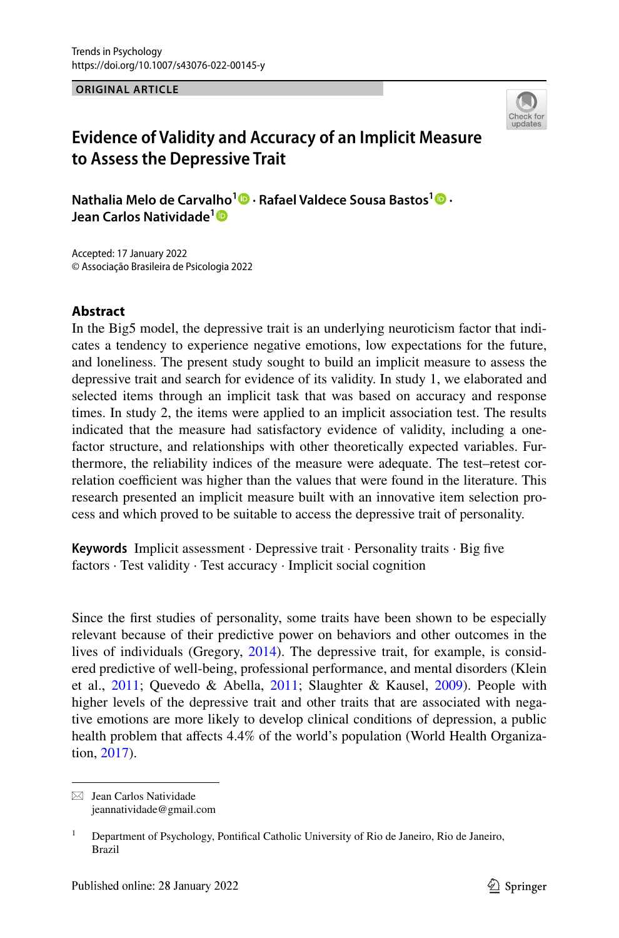**ORIGINAL ARTICLE**



# **Evidence of Validity and Accuracy of an Implicit Measure to Assess the Depressive Trait**

**Nathalia Melo de Carvalho<sup>1</sup> · Rafael Valdece Sousa Bastos1 · Jean Carlos Natividade[1](http://orcid.org/0000-0002-3264-9352)**

Accepted: 17 January 2022 © Associação Brasileira de Psicologia 2022

### **Abstract**

In the Big5 model, the depressive trait is an underlying neuroticism factor that indicates a tendency to experience negative emotions, low expectations for the future, and loneliness. The present study sought to build an implicit measure to assess the depressive trait and search for evidence of its validity. In study 1, we elaborated and selected items through an implicit task that was based on accuracy and response times. In study 2, the items were applied to an implicit association test. The results indicated that the measure had satisfactory evidence of validity, including a onefactor structure, and relationships with other theoretically expected variables. Furthermore, the reliability indices of the measure were adequate. The test–retest correlation coefficient was higher than the values that were found in the literature. This research presented an implicit measure built with an innovative item selection process and which proved to be suitable to access the depressive trait of personality.

**Keywords** Implicit assessment · Depressive trait · Personality traits · Big fve factors · Test validity · Test accuracy · Implicit social cognition

Since the frst studies of personality, some traits have been shown to be especially relevant because of their predictive power on behaviors and other outcomes in the lives of individuals (Gregory, [2014](#page-23-0)). The depressive trait, for example, is considered predictive of well-being, professional performance, and mental disorders (Klein et al., [2011](#page-25-0); Quevedo & Abella, 2011; Slaughter & Kausel, [2009\)](#page-25-1). People with higher levels of the depressive trait and other traits that are associated with negative emotions are more likely to develop clinical conditions of depression, a public health problem that affects 4.4% of the world's population (World Health Organization, [2017\)](#page-25-2).

 $\boxtimes$  Jean Carlos Natividade jeannatividade@gmail.com

<sup>&</sup>lt;sup>1</sup> Department of Psychology, Pontifical Catholic University of Rio de Janeiro, Rio de Janeiro, Brazil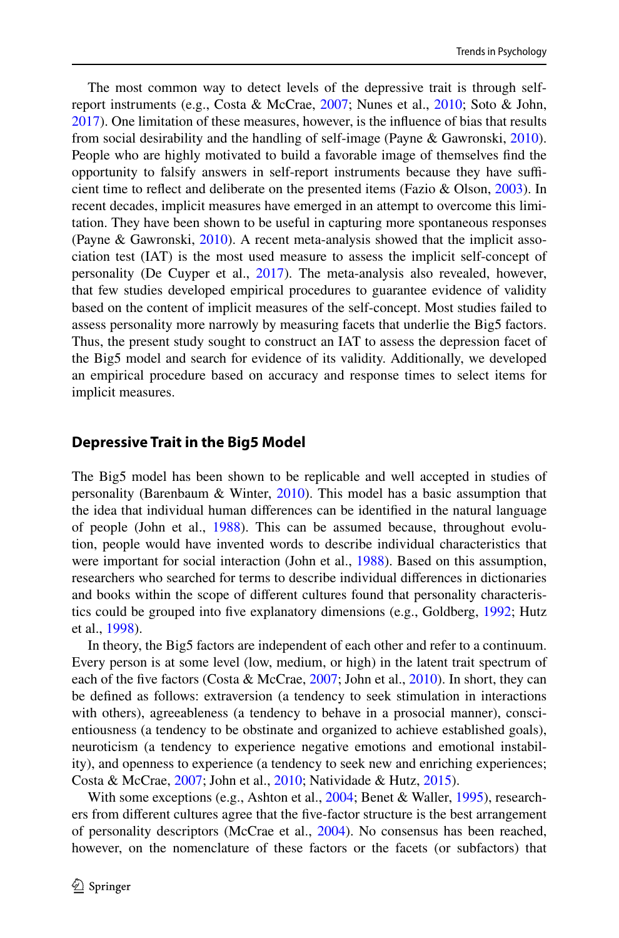The most common way to detect levels of the depressive trait is through self-report instruments (e.g., Costa & McCrae, [2007](#page-22-0); Nunes et al., [2010](#page-24-1); Soto & John, [2017](#page-25-3)). One limitation of these measures, however, is the infuence of bias that results from social desirability and the handling of self-image (Payne & Gawronski, [2010\)](#page-25-4). People who are highly motivated to build a favorable image of themselves fnd the opportunity to falsify answers in self-report instruments because they have sufficient time to refect and deliberate on the presented items (Fazio & Olson, [2003\)](#page-23-1). In recent decades, implicit measures have emerged in an attempt to overcome this limitation. They have been shown to be useful in capturing more spontaneous responses (Payne & Gawronski, [2010\)](#page-25-4). A recent meta-analysis showed that the implicit association test (IAT) is the most used measure to assess the implicit self-concept of personality (De Cuyper et al., [2017\)](#page-22-1). The meta-analysis also revealed, however, that few studies developed empirical procedures to guarantee evidence of validity based on the content of implicit measures of the self-concept. Most studies failed to assess personality more narrowly by measuring facets that underlie the Big5 factors. Thus, the present study sought to construct an IAT to assess the depression facet of the Big5 model and search for evidence of its validity. Additionally, we developed an empirical procedure based on accuracy and response times to select items for implicit measures.

#### **Depressive Trait in the Big5 Model**

The Big5 model has been shown to be replicable and well accepted in studies of personality (Barenbaum & Winter, [2010](#page-22-2)). This model has a basic assumption that the idea that individual human diferences can be identifed in the natural language of people (John et al., [1988\)](#page-24-2). This can be assumed because, throughout evolution, people would have invented words to describe individual characteristics that were important for social interaction (John et al., [1988](#page-24-2)). Based on this assumption, researchers who searched for terms to describe individual diferences in dictionaries and books within the scope of diferent cultures found that personality characteristics could be grouped into fve explanatory dimensions (e.g., Goldberg, [1992](#page-23-2); Hutz et al., [1998](#page-24-3)).

In theory, the Big5 factors are independent of each other and refer to a continuum. Every person is at some level (low, medium, or high) in the latent trait spectrum of each of the fve factors (Costa & McCrae, [2007;](#page-22-0) John et al., [2010\)](#page-24-4). In short, they can be defned as follows: extraversion (a tendency to seek stimulation in interactions with others), agreeableness (a tendency to behave in a prosocial manner), conscientiousness (a tendency to be obstinate and organized to achieve established goals), neuroticism (a tendency to experience negative emotions and emotional instability), and openness to experience (a tendency to seek new and enriching experiences; Costa & McCrae, [2007;](#page-22-0) John et al., [2010;](#page-24-4) Natividade & Hutz, [2015\)](#page-24-5).

With some exceptions (e.g., Ashton et al., [2004](#page-22-3); Benet & Waller, [1995\)](#page-22-4), researchers from diferent cultures agree that the fve-factor structure is the best arrangement of personality descriptors (McCrae et al., [2004](#page-24-6)). No consensus has been reached, however, on the nomenclature of these factors or the facets (or subfactors) that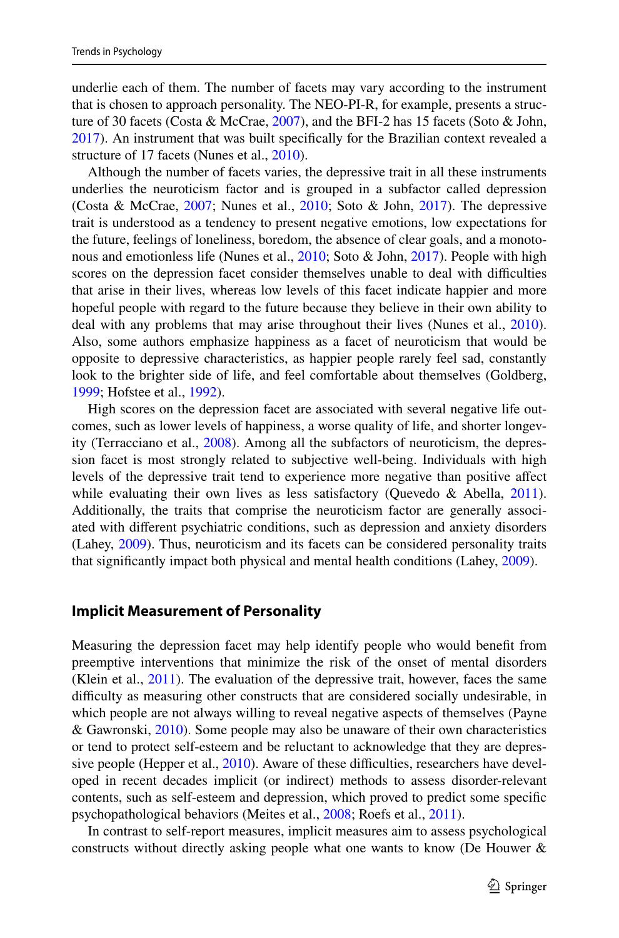underlie each of them. The number of facets may vary according to the instrument that is chosen to approach personality. The NEO-PI-R, for example, presents a structure of 30 facets (Costa & McCrae, [2007](#page-22-0)), and the BFI-2 has 15 facets (Soto & John, [2017](#page-25-3)). An instrument that was built specifcally for the Brazilian context revealed a structure of 17 facets (Nunes et al., [2010](#page-24-1)).

Although the number of facets varies, the depressive trait in all these instruments underlies the neuroticism factor and is grouped in a subfactor called depression (Costa & McCrae, [2007;](#page-22-0) Nunes et al., [2010;](#page-24-1) Soto & John, [2017\)](#page-25-3). The depressive trait is understood as a tendency to present negative emotions, low expectations for the future, feelings of loneliness, boredom, the absence of clear goals, and a monotonous and emotionless life (Nunes et al., [2010](#page-24-1); Soto & John, [2017\)](#page-25-3). People with high scores on the depression facet consider themselves unable to deal with difficulties that arise in their lives, whereas low levels of this facet indicate happier and more hopeful people with regard to the future because they believe in their own ability to deal with any problems that may arise throughout their lives (Nunes et al., [2010\)](#page-24-1). Also, some authors emphasize happiness as a facet of neuroticism that would be opposite to depressive characteristics, as happier people rarely feel sad, constantly look to the brighter side of life, and feel comfortable about themselves (Goldberg, [1999](#page-23-3); Hofstee et al., [1992](#page-23-4)).

High scores on the depression facet are associated with several negative life outcomes, such as lower levels of happiness, a worse quality of life, and shorter longevity (Terracciano et al., [2008](#page-25-5)). Among all the subfactors of neuroticism, the depression facet is most strongly related to subjective well-being. Individuals with high levels of the depressive trait tend to experience more negative than positive afect while evaluating their own lives as less satisfactory (Quevedo & Abella, [2011\)](#page-25-0). Additionally, the traits that comprise the neuroticism factor are generally associated with diferent psychiatric conditions, such as depression and anxiety disorders (Lahey, [2009](#page-24-7)). Thus, neuroticism and its facets can be considered personality traits that signifcantly impact both physical and mental health conditions (Lahey, [2009](#page-24-7)).

#### **Implicit Measurement of Personality**

Measuring the depression facet may help identify people who would beneft from preemptive interventions that minimize the risk of the onset of mental disorders (Klein et al., [2011](#page-24-0)). The evaluation of the depressive trait, however, faces the same difficulty as measuring other constructs that are considered socially undesirable, in which people are not always willing to reveal negative aspects of themselves (Payne & Gawronski, [2010](#page-25-4)). Some people may also be unaware of their own characteristics or tend to protect self-esteem and be reluctant to acknowledge that they are depressive people (Hepper et al.,  $2010$ ). Aware of these difficulties, researchers have developed in recent decades implicit (or indirect) methods to assess disorder-relevant contents, such as self-esteem and depression, which proved to predict some specifc psychopathological behaviors (Meites et al., [2008;](#page-24-8) Roefs et al., [2011\)](#page-25-6).

In contrast to self-report measures, implicit measures aim to assess psychological constructs without directly asking people what one wants to know (De Houwer &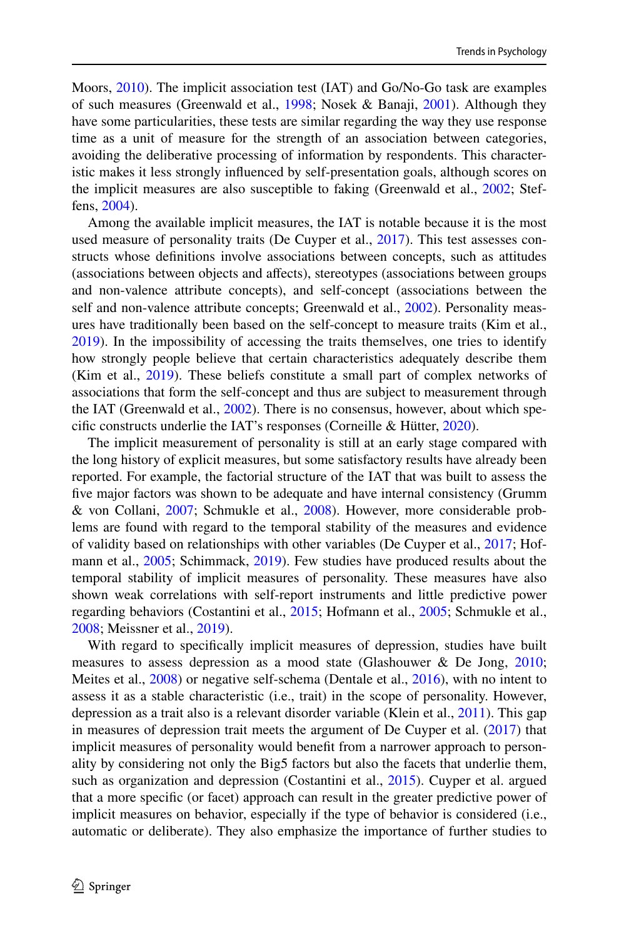Moors, [2010\)](#page-23-6). The implicit association test (IAT) and Go/No-Go task are examples of such measures (Greenwald et al., [1998;](#page-23-7) Nosek & Banaji, [2001](#page-24-9)). Although they have some particularities, these tests are similar regarding the way they use response time as a unit of measure for the strength of an association between categories, avoiding the deliberative processing of information by respondents. This characteristic makes it less strongly infuenced by self-presentation goals, although scores on the implicit measures are also susceptible to faking (Greenwald et al., [2002;](#page-23-8) Steffens, [2004](#page-25-7)).

Among the available implicit measures, the IAT is notable because it is the most used measure of personality traits (De Cuyper et al., [2017\)](#page-22-1). This test assesses constructs whose defnitions involve associations between concepts, such as attitudes (associations between objects and afects), stereotypes (associations between groups and non-valence attribute concepts), and self-concept (associations between the self and non-valence attribute concepts; Greenwald et al., [2002\)](#page-23-8). Personality measures have traditionally been based on the self-concept to measure traits (Kim et al., [2019](#page-24-10)). In the impossibility of accessing the traits themselves, one tries to identify how strongly people believe that certain characteristics adequately describe them (Kim et al., [2019\)](#page-24-10). These beliefs constitute a small part of complex networks of associations that form the self-concept and thus are subject to measurement through the IAT (Greenwald et al., [2002\)](#page-23-8). There is no consensus, however, about which specifc constructs underlie the IAT's responses (Corneille & Hütter, [2020\)](#page-22-5).

The implicit measurement of personality is still at an early stage compared with the long history of explicit measures, but some satisfactory results have already been reported. For example, the factorial structure of the IAT that was built to assess the fve major factors was shown to be adequate and have internal consistency (Grumm & von Collani, [2007;](#page-23-9) Schmukle et al., [2008\)](#page-25-8). However, more considerable problems are found with regard to the temporal stability of the measures and evidence of validity based on relationships with other variables (De Cuyper et al., [2017](#page-22-1); Hofmann et al., [2005;](#page-23-10) Schimmack, [2019](#page-25-9)). Few studies have produced results about the temporal stability of implicit measures of personality. These measures have also shown weak correlations with self-report instruments and little predictive power regarding behaviors (Costantini et al., [2015](#page-22-6); Hofmann et al., [2005;](#page-23-10) Schmukle et al., [2008](#page-25-8); Meissner et al., [2019\)](#page-24-11).

With regard to specifcally implicit measures of depression, studies have built measures to assess depression as a mood state (Glashouwer & De Jong, [2010;](#page-23-11) Meites et al., [2008](#page-24-8)) or negative self-schema (Dentale et al., [2016\)](#page-23-12), with no intent to assess it as a stable characteristic (i.e., trait) in the scope of personality. However, depression as a trait also is a relevant disorder variable (Klein et al., [2011](#page-24-0)). This gap in measures of depression trait meets the argument of De Cuyper et al. ([2017\)](#page-22-1) that implicit measures of personality would beneft from a narrower approach to personality by considering not only the Big5 factors but also the facets that underlie them, such as organization and depression (Costantini et al., [2015\)](#page-22-6). Cuyper et al. argued that a more specifc (or facet) approach can result in the greater predictive power of implicit measures on behavior, especially if the type of behavior is considered (i.e., automatic or deliberate). They also emphasize the importance of further studies to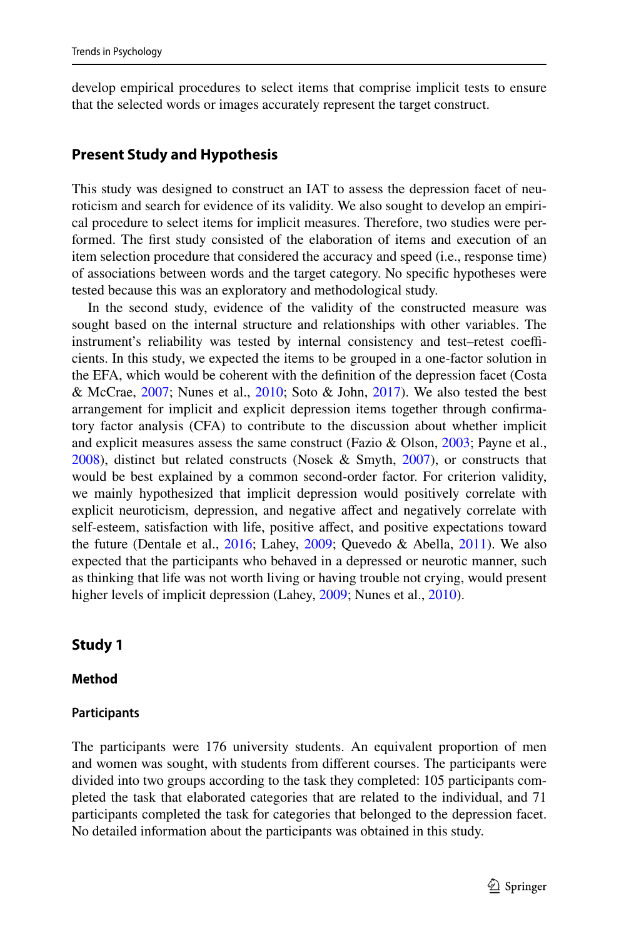develop empirical procedures to select items that comprise implicit tests to ensure that the selected words or images accurately represent the target construct.

#### **Present Study and Hypothesis**

This study was designed to construct an IAT to assess the depression facet of neuroticism and search for evidence of its validity. We also sought to develop an empirical procedure to select items for implicit measures. Therefore, two studies were performed. The frst study consisted of the elaboration of items and execution of an item selection procedure that considered the accuracy and speed (i.e., response time) of associations between words and the target category. No specifc hypotheses were tested because this was an exploratory and methodological study.

In the second study, evidence of the validity of the constructed measure was sought based on the internal structure and relationships with other variables. The instrument's reliability was tested by internal consistency and test–retest coefficients. In this study, we expected the items to be grouped in a one-factor solution in the EFA, which would be coherent with the defnition of the depression facet (Costa & McCrae, [2007](#page-22-0); Nunes et al., [2010](#page-24-1); Soto & John, [2017\)](#page-25-3). We also tested the best arrangement for implicit and explicit depression items together through confrmatory factor analysis (CFA) to contribute to the discussion about whether implicit and explicit measures assess the same construct (Fazio & Olson, [2003;](#page-23-1) Payne et al., [2008](#page-25-10)), distinct but related constructs (Nosek & Smyth, [2007\)](#page-24-12), or constructs that would be best explained by a common second-order factor. For criterion validity, we mainly hypothesized that implicit depression would positively correlate with explicit neuroticism, depression, and negative afect and negatively correlate with self-esteem, satisfaction with life, positive afect, and positive expectations toward the future (Dentale et al.,  $2016$ ; Lahey,  $2009$ ; Quevedo & Abella,  $2011$ ). We also expected that the participants who behaved in a depressed or neurotic manner, such as thinking that life was not worth living or having trouble not crying, would present higher levels of implicit depression (Lahey, [2009;](#page-24-7) Nunes et al., [2010](#page-24-1)).

#### **Study 1**

#### **Method**

#### **Participants**

The participants were 176 university students. An equivalent proportion of men and women was sought, with students from diferent courses. The participants were divided into two groups according to the task they completed: 105 participants completed the task that elaborated categories that are related to the individual, and 71 participants completed the task for categories that belonged to the depression facet. No detailed information about the participants was obtained in this study.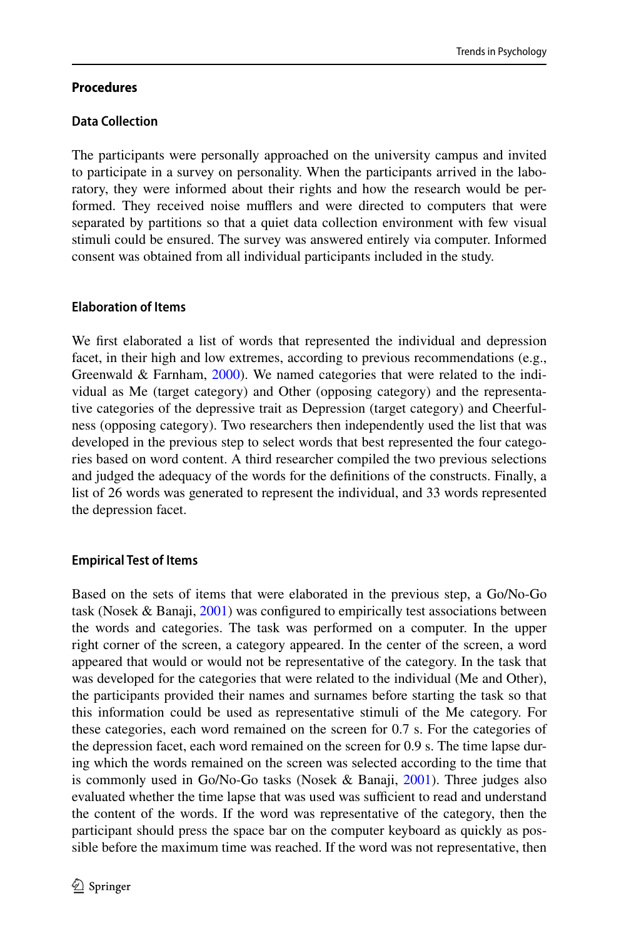### **Procedures**

### **Data Collection**

The participants were personally approached on the university campus and invited to participate in a survey on personality. When the participants arrived in the laboratory, they were informed about their rights and how the research would be performed. They received noise mufflers and were directed to computers that were separated by partitions so that a quiet data collection environment with few visual stimuli could be ensured. The survey was answered entirely via computer. Informed consent was obtained from all individual participants included in the study.

### **Elaboration of Items**

We first elaborated a list of words that represented the individual and depression facet, in their high and low extremes, according to previous recommendations (e.g., Greenwald & Farnham, [2000\)](#page-23-13). We named categories that were related to the individual as Me (target category) and Other (opposing category) and the representative categories of the depressive trait as Depression (target category) and Cheerfulness (opposing category). Two researchers then independently used the list that was developed in the previous step to select words that best represented the four categories based on word content. A third researcher compiled the two previous selections and judged the adequacy of the words for the defnitions of the constructs. Finally, a list of 26 words was generated to represent the individual, and 33 words represented the depression facet.

#### **Empirical Test of Items**

Based on the sets of items that were elaborated in the previous step, a Go/No-Go task (Nosek & Banaji, [2001\)](#page-24-9) was confgured to empirically test associations between the words and categories. The task was performed on a computer. In the upper right corner of the screen, a category appeared. In the center of the screen, a word appeared that would or would not be representative of the category. In the task that was developed for the categories that were related to the individual (Me and Other), the participants provided their names and surnames before starting the task so that this information could be used as representative stimuli of the Me category. For these categories, each word remained on the screen for 0.7 s. For the categories of the depression facet, each word remained on the screen for 0.9 s. The time lapse during which the words remained on the screen was selected according to the time that is commonly used in Go/No-Go tasks (Nosek & Banaji, [2001](#page-24-9)). Three judges also evaluated whether the time lapse that was used was sufficient to read and understand the content of the words. If the word was representative of the category, then the participant should press the space bar on the computer keyboard as quickly as possible before the maximum time was reached. If the word was not representative, then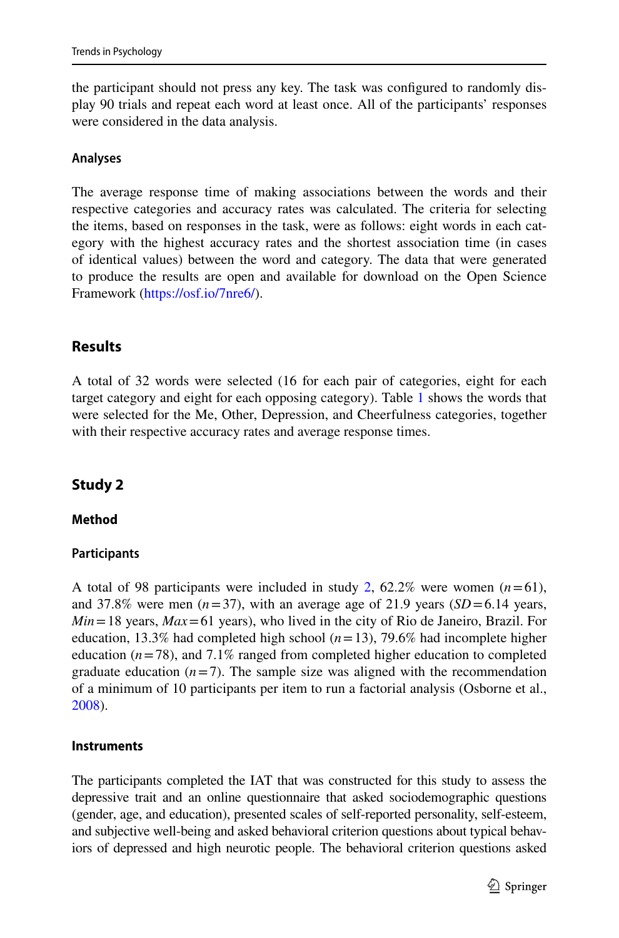the participant should not press any key. The task was confgured to randomly display 90 trials and repeat each word at least once. All of the participants' responses were considered in the data analysis.

### **Analyses**

The average response time of making associations between the words and their respective categories and accuracy rates was calculated. The criteria for selecting the items, based on responses in the task, were as follows: eight words in each category with the highest accuracy rates and the shortest association time (in cases of identical values) between the word and category. The data that were generated to produce the results are open and available for download on the Open Science Framework [\(https://osf.io/7nre6/](https://osf.io/7nre6/)).

# **Results**

A total of 32 words were selected (16 for each pair of categories, eight for each target category and eight for each opposing category). Table [1](#page-7-0) shows the words that were selected for the Me, Other, Depression, and Cheerfulness categories, together with their respective accuracy rates and average response times.

# **Study 2**

#### <span id="page-6-0"></span>**Method**

#### **Participants**

A total of 98 participants were included in study [2,](#page-6-0)  $62.2\%$  were women  $(n=61)$ , and 37.8% were men  $(n=37)$ , with an average age of 21.9 years ( $SD = 6.14$  years, *Min*=18 years, *Max*=61 years), who lived in the city of Rio de Janeiro, Brazil. For education, 13.3% had completed high school (*n*=13), 79.6% had incomplete higher education  $(n=78)$ , and  $7.1\%$  ranged from completed higher education to completed graduate education  $(n=7)$ . The sample size was aligned with the recommendation of a minimum of 10 participants per item to run a factorial analysis (Osborne et al., [2008](#page-24-13)).

#### **Instruments**

The participants completed the IAT that was constructed for this study to assess the depressive trait and an online questionnaire that asked sociodemographic questions (gender, age, and education), presented scales of self-reported personality, self-esteem, and subjective well-being and asked behavioral criterion questions about typical behaviors of depressed and high neurotic people. The behavioral criterion questions asked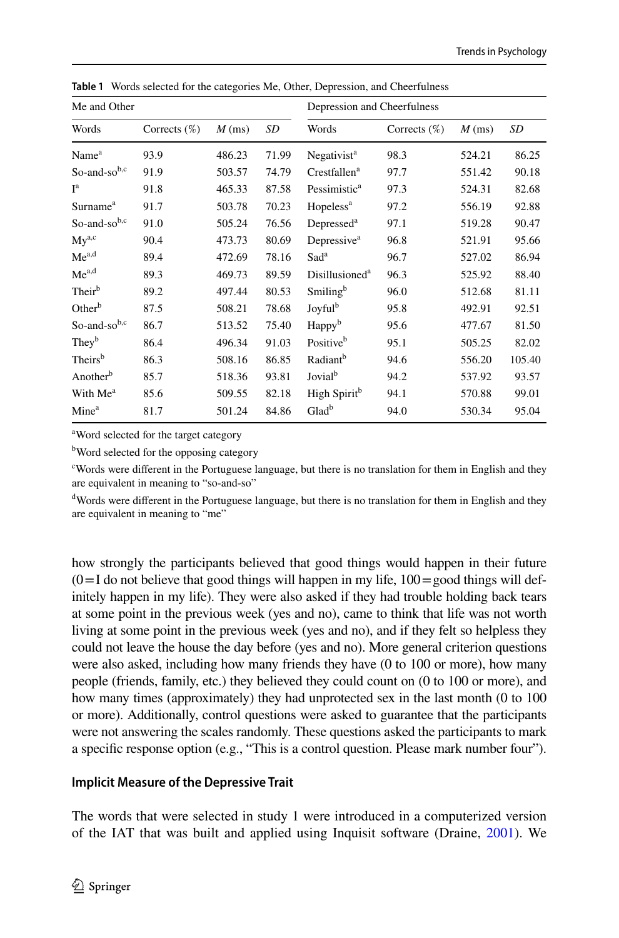| Me and Other         |                 |          |       | Depression and Cheerfulness |                 |          |        |
|----------------------|-----------------|----------|-------|-----------------------------|-----------------|----------|--------|
| Words                | Corrects $(\%)$ | $M$ (ms) | SD    | Words                       | Corrects $(\%)$ | $M$ (ms) | SD     |
| Name <sup>a</sup>    | 93.9            | 486.23   | 71.99 | Negativist <sup>a</sup>     | 98.3            | 524.21   | 86.25  |
| So-and-sob,c         | 91.9            | 503.57   | 74.79 | Crestfallen <sup>a</sup>    | 97.7            | 551.42   | 90.18  |
| I <sup>a</sup>       | 91.8            | 465.33   | 87.58 | Pessimistic <sup>a</sup>    | 97.3            | 524.31   | 82.68  |
| Surname <sup>a</sup> | 91.7            | 503.78   | 70.23 | Hopeless <sup>a</sup>       | 97.2            | 556.19   | 92.88  |
| So-and-sob,c         | 91.0            | 505.24   | 76.56 | Depressed <sup>a</sup>      | 97.1            | 519.28   | 90.47  |
| $Mv^{a,c}$           | 90.4            | 473.73   | 80.69 | Depressive <sup>a</sup>     | 96.8            | 521.91   | 95.66  |
| $Me^{a,d}$           | 89.4            | 472.69   | 78.16 | Sad <sup>a</sup>            | 96.7            | 527.02   | 86.94  |
| Me <sup>a,d</sup>    | 89.3            | 469.73   | 89.59 | Disillusioned <sup>a</sup>  | 96.3            | 525.92   | 88.40  |
| Their <sup>b</sup>   | 89.2            | 497.44   | 80.53 | Smiling <sup>b</sup>        | 96.0            | 512.68   | 81.11  |
| Other <sup>b</sup>   | 87.5            | 508.21   | 78.68 | Joyful <sup>b</sup>         | 95.8            | 492.91   | 92.51  |
| So-and-sob,c         | 86.7            | 513.52   | 75.40 | Happy <sup>b</sup>          | 95.6            | 477.67   | 81.50  |
| They <sup>b</sup>    | 86.4            | 496.34   | 91.03 | Positive <sup>b</sup>       | 95.1            | 505.25   | 82.02  |
| Theirs <sup>b</sup>  | 86.3            | 508.16   | 86.85 | Radiant <sup>b</sup>        | 94.6            | 556.20   | 105.40 |
| Another <sup>b</sup> | 85.7            | 518.36   | 93.81 | Jovial <sup>b</sup>         | 94.2            | 537.92   | 93.57  |
| With Me <sup>a</sup> | 85.6            | 509.55   | 82.18 | High Spirit <sup>b</sup>    | 94.1            | 570.88   | 99.01  |
| Mine <sup>a</sup>    | 81.7            | 501.24   | 84.86 | Glad <sup>b</sup>           | 94.0            | 530.34   | 95.04  |

<span id="page-7-0"></span>**Table 1** Words selected for the categories Me, Other, Depression, and Cheerfulness

a Word selected for the target category

<sup>b</sup>Word selected for the opposing category

c Words were diferent in the Portuguese language, but there is no translation for them in English and they are equivalent in meaning to "so-and-so"

<sup>d</sup>Words were different in the Portuguese language, but there is no translation for them in English and they are equivalent in meaning to "me"

how strongly the participants believed that good things would happen in their future  $(0=I$  do not believe that good things will happen in my life,  $100 =$ good things will definitely happen in my life). They were also asked if they had trouble holding back tears at some point in the previous week (yes and no), came to think that life was not worth living at some point in the previous week (yes and no), and if they felt so helpless they could not leave the house the day before (yes and no). More general criterion questions were also asked, including how many friends they have (0 to 100 or more), how many people (friends, family, etc.) they believed they could count on (0 to 100 or more), and how many times (approximately) they had unprotected sex in the last month (0 to 100 or more). Additionally, control questions were asked to guarantee that the participants were not answering the scales randomly. These questions asked the participants to mark a specifc response option (e.g., "This is a control question. Please mark number four").

#### **Implicit Measure of the Depressive Trait**

The words that were selected in study 1 were introduced in a computerized version of the IAT that was built and applied using Inquisit software (Draine, [2001](#page-23-14)). We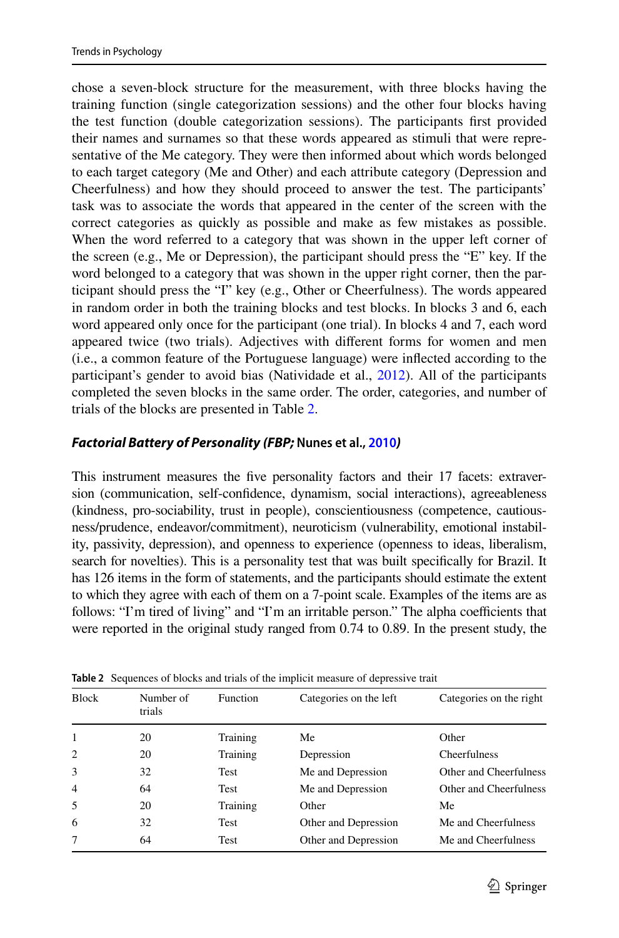chose a seven-block structure for the measurement, with three blocks having the training function (single categorization sessions) and the other four blocks having the test function (double categorization sessions). The participants frst provided their names and surnames so that these words appeared as stimuli that were representative of the Me category. They were then informed about which words belonged to each target category (Me and Other) and each attribute category (Depression and Cheerfulness) and how they should proceed to answer the test. The participants' task was to associate the words that appeared in the center of the screen with the correct categories as quickly as possible and make as few mistakes as possible. When the word referred to a category that was shown in the upper left corner of the screen (e.g., Me or Depression), the participant should press the "E" key. If the word belonged to a category that was shown in the upper right corner, then the participant should press the "I" key (e.g., Other or Cheerfulness). The words appeared in random order in both the training blocks and test blocks. In blocks 3 and 6, each word appeared only once for the participant (one trial). In blocks 4 and 7, each word appeared twice (two trials). Adjectives with diferent forms for women and men (i.e., a common feature of the Portuguese language) were infected according to the participant's gender to avoid bias (Natividade et al., [2012\)](#page-24-14). All of the participants completed the seven blocks in the same order. The order, categories, and number of trials of the blocks are presented in Table [2](#page-8-0).

### *Factorial Battery of Personality (FBP;* **Nunes et al., [2010](#page-24-1)***)*

This instrument measures the fve personality factors and their 17 facets: extraversion (communication, self-confdence, dynamism, social interactions), agreeableness (kindness, pro-sociability, trust in people), conscientiousness (competence, cautiousness/prudence, endeavor/commitment), neuroticism (vulnerability, emotional instability, passivity, depression), and openness to experience (openness to ideas, liberalism, search for novelties). This is a personality test that was built specifcally for Brazil. It has 126 items in the form of statements, and the participants should estimate the extent to which they agree with each of them on a 7-point scale. Examples of the items are as follows: "I'm tired of living" and "I'm an irritable person." The alpha coefficients that were reported in the original study ranged from 0.74 to 0.89. In the present study, the

| <b>Block</b>   | Number of<br>trials | Function    | Categories on the left | Categories on the right |
|----------------|---------------------|-------------|------------------------|-------------------------|
| $\mathbf{1}$   | 20                  | Training    | Me                     | Other                   |
| $\overline{2}$ | 20                  | Training    | Depression             | Cheerfulness            |
| 3              | 32                  | <b>Test</b> | Me and Depression      | Other and Cheerfulness  |
| $\overline{4}$ | 64                  | <b>Test</b> | Me and Depression      | Other and Cheerfulness  |
| 5              | 20                  | Training    | Other                  | Me                      |
| 6              | 32                  | <b>Test</b> | Other and Depression   | Me and Cheerfulness     |
| 7              | 64                  | <b>Test</b> | Other and Depression   | Me and Cheerfulness     |

<span id="page-8-0"></span>**Table 2** Sequences of blocks and trials of the implicit measure of depressive trait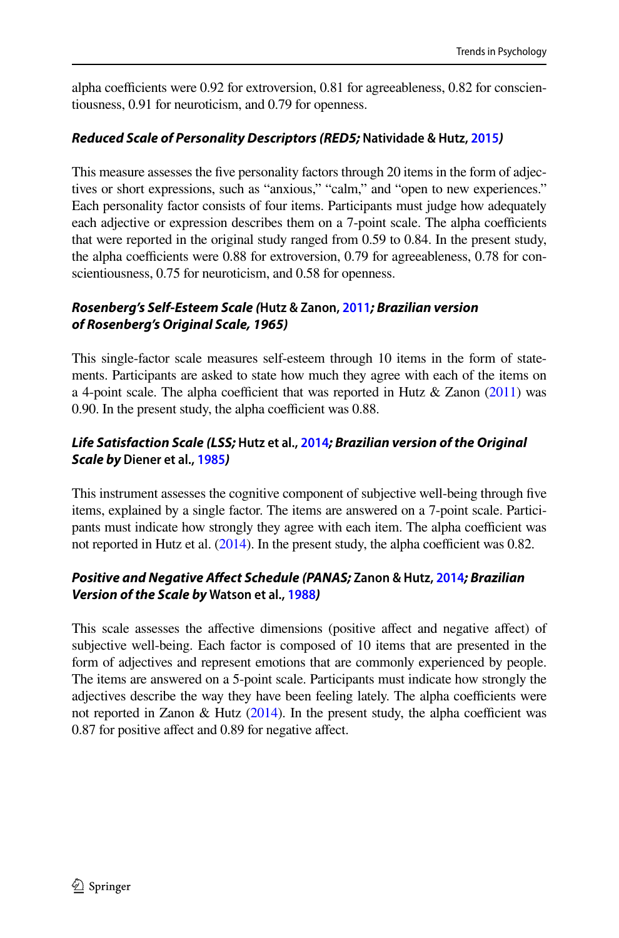alpha coefficients were  $0.92$  for extroversion,  $0.81$  for agreeableness,  $0.82$  for conscientiousness, 0.91 for neuroticism, and 0.79 for openness.

# *Reduced Scale of Personality Descriptors (RED5;* **Natividade & Hutz, [2015](#page-24-5)***)*

This measure assesses the fve personality factors through 20 items in the form of adjectives or short expressions, such as "anxious," "calm," and "open to new experiences." Each personality factor consists of four items. Participants must judge how adequately each adjective or expression describes them on a 7-point scale. The alpha coefficients that were reported in the original study ranged from 0.59 to 0.84. In the present study, the alpha coefficients were  $0.88$  for extroversion,  $0.79$  for agreeableness,  $0.78$  for conscientiousness, 0.75 for neuroticism, and 0.58 for openness.

# *Rosenberg's Self‑Esteem Scale (***Hutz & Zanon, [2011](#page-24-15)***; Brazilian version of Rosenberg's Original Scale, 1965)*

This single-factor scale measures self-esteem through 10 items in the form of statements. Participants are asked to state how much they agree with each of the items on a 4-point scale. The alpha coefficient that was reported in Hutz  $\&$  Zanon [\(2011\)](#page-24-15) was 0.90. In the present study, the alpha coefficient was 0.88.

# *Life Satisfaction Scale (LSS;* **Hutz et al., [2014](#page-24-16)***; Brazilian version of the Original Scale by* **Diener et al., [1985](#page-23-15)***)*

This instrument assesses the cognitive component of subjective well-being through fve items, explained by a single factor. The items are answered on a 7-point scale. Participants must indicate how strongly they agree with each item. The alpha coefficient was not reported in Hutz et al.  $(2014)$  $(2014)$  $(2014)$ . In the present study, the alpha coefficient was 0.82.

# *Positive and Negative Afect Schedule (PANAS;* **Zanon & Hutz, [2014](#page-25-11)***; Brazilian Version of the Scale by* **Watson et al., [1988](#page-25-12)***)*

This scale assesses the affective dimensions (positive affect and negative affect) of subjective well-being. Each factor is composed of 10 items that are presented in the form of adjectives and represent emotions that are commonly experienced by people. The items are answered on a 5-point scale. Participants must indicate how strongly the adjectives describe the way they have been feeling lately. The alpha coefficients were not reported in Zanon & Hutz  $(2014)$  $(2014)$ . In the present study, the alpha coefficient was 0.87 for positive afect and 0.89 for negative afect.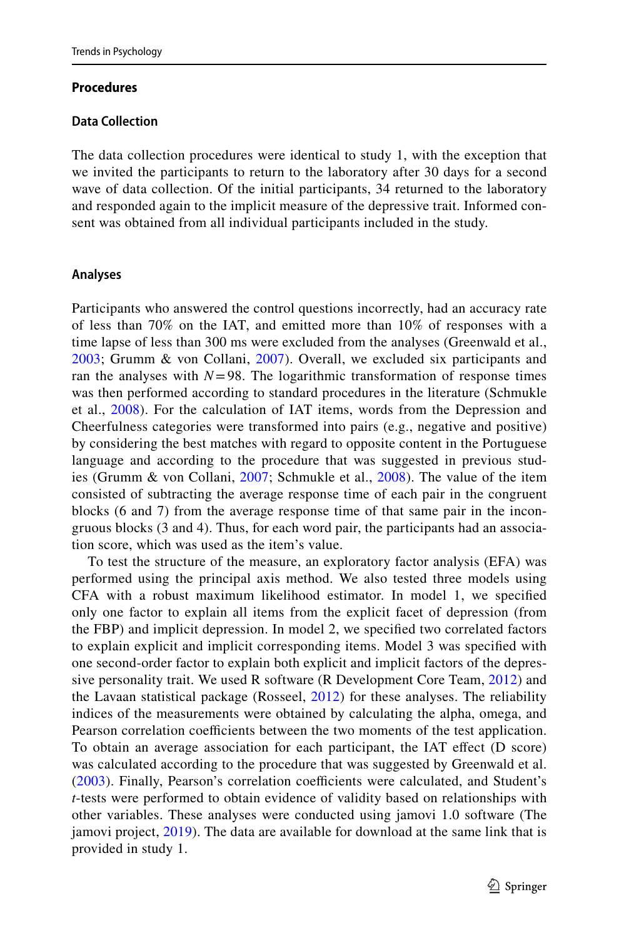#### **Procedures**

#### **Data Collection**

The data collection procedures were identical to study 1, with the exception that we invited the participants to return to the laboratory after 30 days for a second wave of data collection. Of the initial participants, 34 returned to the laboratory and responded again to the implicit measure of the depressive trait. Informed consent was obtained from all individual participants included in the study.

#### **Analyses**

Participants who answered the control questions incorrectly, had an accuracy rate of less than 70% on the IAT, and emitted more than 10% of responses with a time lapse of less than 300 ms were excluded from the analyses (Greenwald et al., [2003;](#page-23-16) Grumm & von Collani, [2007](#page-23-9)). Overall, we excluded six participants and ran the analyses with  $N=98$ . The logarithmic transformation of response times was then performed according to standard procedures in the literature (Schmukle et al., [2008](#page-25-8)). For the calculation of IAT items, words from the Depression and Cheerfulness categories were transformed into pairs (e.g., negative and positive) by considering the best matches with regard to opposite content in the Portuguese language and according to the procedure that was suggested in previous studies (Grumm & von Collani, [2007;](#page-23-9) Schmukle et al., [2008](#page-25-8)). The value of the item consisted of subtracting the average response time of each pair in the congruent blocks (6 and 7) from the average response time of that same pair in the incongruous blocks (3 and 4). Thus, for each word pair, the participants had an association score, which was used as the item's value.

To test the structure of the measure, an exploratory factor analysis (EFA) was performed using the principal axis method. We also tested three models using CFA with a robust maximum likelihood estimator. In model 1, we specifed only one factor to explain all items from the explicit facet of depression (from the FBP) and implicit depression. In model 2, we specifed two correlated factors to explain explicit and implicit corresponding items. Model 3 was specifed with one second-order factor to explain both explicit and implicit factors of the depres-sive personality trait. We used R software (R Development Core Team, [2012\)](#page-25-13) and the Lavaan statistical package (Rosseel, [2012](#page-25-14)) for these analyses. The reliability indices of the measurements were obtained by calculating the alpha, omega, and Pearson correlation coefficients between the two moments of the test application. To obtain an average association for each participant, the IAT efect (D score) was calculated according to the procedure that was suggested by Greenwald et al. [\(2003](#page-23-16)). Finally, Pearson's correlation coefficients were calculated, and Student's *t*-tests were performed to obtain evidence of validity based on relationships with other variables. These analyses were conducted using jamovi 1.0 software (The jamovi project, [2019](#page-25-15)). The data are available for download at the same link that is provided in study 1.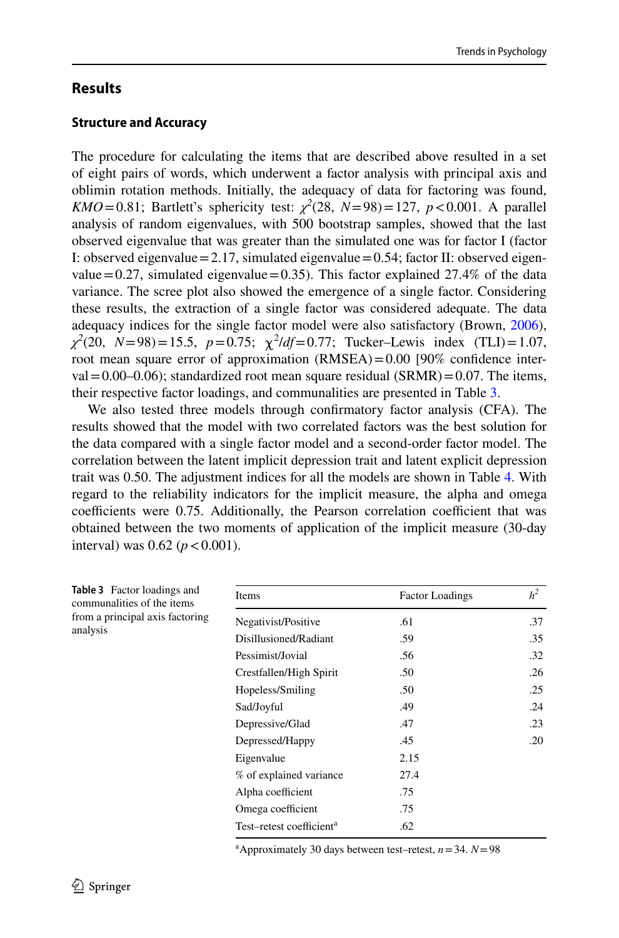# **Results**

### **Structure and Accuracy**

The procedure for calculating the items that are described above resulted in a set of eight pairs of words, which underwent a factor analysis with principal axis and oblimin rotation methods. Initially, the adequacy of data for factoring was found, *KMO*=0.81; Bartlett's sphericity test:  $\chi^2$ (28, *N*=98)=127, *p*<0.001. A parallel analysis of random eigenvalues, with 500 bootstrap samples, showed that the last observed eigenvalue that was greater than the simulated one was for factor I (factor I: observed eigenvalue =  $2.17$ , simulated eigenvalue =  $0.54$ ; factor II: observed eigenvalue  $=0.27$ , simulated eigenvalue  $=0.35$ ). This factor explained 27.4% of the data variance. The scree plot also showed the emergence of a single factor. Considering these results, the extraction of a single factor was considered adequate. The data adequacy indices for the single factor model were also satisfactory (Brown, [2006\)](#page-22-7),  $\chi^2(20, N=98) = 15.5, p=0.75; \chi^2/df = 0.77;$  Tucker–Lewis index (TLI) = 1.07, root mean square error of approximation (RMSEA)=0.00 [90% confdence inter $val = 0.00-0.06$ ; standardized root mean square residual  $(SRMR) = 0.07$ . The items, their respective factor loadings, and communalities are presented in Table [3](#page-11-0).

We also tested three models through confrmatory factor analysis (CFA). The results showed that the model with two correlated factors was the best solution for the data compared with a single factor model and a second-order factor model. The correlation between the latent implicit depression trait and latent explicit depression trait was 0.50. The adjustment indices for all the models are shown in Table [4](#page-12-0). With regard to the reliability indicators for the implicit measure, the alpha and omega coefficients were 0.75. Additionally, the Pearson correlation coefficient that was obtained between the two moments of application of the implicit measure (30-day interval) was  $0.62$  ( $p < 0.001$ ).

<span id="page-11-0"></span>

| Table 3 Factor loadings and<br>communalities of the items | Items                                | <b>Factor Loadings</b> | h <sup>2</sup> |
|-----------------------------------------------------------|--------------------------------------|------------------------|----------------|
| from a principal axis factoring                           | Negativist/Positive                  | .61                    | .37            |
| analysis                                                  | Disillusioned/Radiant                | .59                    | .35            |
|                                                           | Pessimist/Jovial                     | .56                    | .32            |
|                                                           | Crestfallen/High Spirit              | .50                    | .26            |
|                                                           | Hopeless/Smiling                     | .50                    | .25            |
|                                                           | Sad/Joyful                           | .49                    | .24            |
|                                                           | Depressive/Glad                      | .47                    | .23            |
|                                                           | Depressed/Happy                      | .45                    | .20            |
|                                                           | Eigenvalue                           | 2.15                   |                |
|                                                           | % of explained variance              | 27.4                   |                |
|                                                           | Alpha coefficient                    | .75                    |                |
|                                                           | Omega coefficient                    | .75                    |                |
|                                                           | Test-retest coefficient <sup>a</sup> | .62                    |                |

<sup>a</sup>Approximately 30 days between test–retest,  $n = 34$ .  $N = 98$ 

anal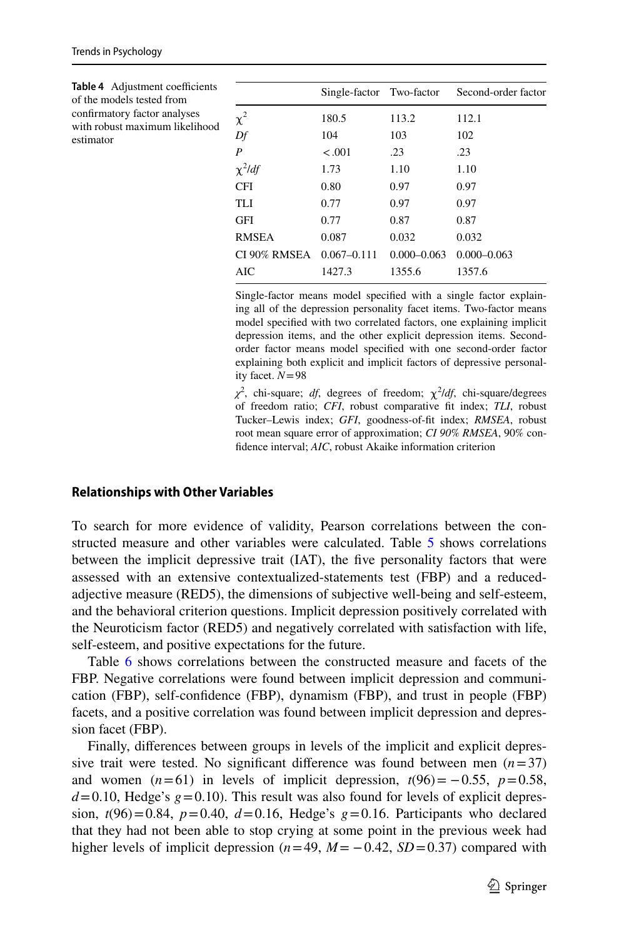<span id="page-12-0"></span>

| Table 4 Adjustment coefficients<br>of the models tested from |              | Single-factor Two-factor |                 | Second-order factor |
|--------------------------------------------------------------|--------------|--------------------------|-----------------|---------------------|
| confirmatory factor analyses                                 | $\chi^2$     | 180.5                    | 113.2           | 112.1               |
| with robust maximum likelihood<br>estimator                  | Df           | 104                      | 103             | 102                 |
|                                                              | P            | $-.001$                  | .23             | .23                 |
|                                                              | $\chi^2$ /df | 1.73                     | 1.10            | 1.10                |
|                                                              | <b>CFI</b>   | 0.80                     | 0.97            | 0.97                |
|                                                              | TLI          | 0.77                     | 0.97            | 0.97                |
|                                                              | <b>GFI</b>   | 0.77                     | 0.87            | 0.87                |
|                                                              | <b>RMSEA</b> | 0.087                    | 0.032           | 0.032               |
|                                                              | CI 90% RMSEA | $0.067 - 0.111$          | $0.000 - 0.063$ | $0.000 - 0.063$     |
|                                                              | AIC          | 1427.3                   | 1355.6          | 1357.6              |

Single-factor means model specifed with a single factor explaining all of the depression personality facet items. Two-factor means model specifed with two correlated factors, one explaining implicit depression items, and the other explicit depression items. Secondorder factor means model specifed with one second-order factor explaining both explicit and implicit factors of depressive personality facet. *N*=98

 $\chi^2$ , chi-square; *df*, degrees of freedom;  $\chi^2/df$ , chi-square/degrees of freedom ratio; *CFI*, robust comparative ft index; *TLI*, robust Tucker–Lewis index; *GFI*, goodness-of-ft index; *RMSEA*, robust root mean square error of approximation; *CI 90% RMSEA*, 90% confdence interval; *AIC*, robust Akaike information criterion

#### **Relationships with Other Variables**

To search for more evidence of validity, Pearson correlations between the constructed measure and other variables were calculated. Table [5](#page-13-0) shows correlations between the implicit depressive trait (IAT), the five personality factors that were assessed with an extensive contextualized-statements test (FBP) and a reducedadjective measure (RED5), the dimensions of subjective well-being and self-esteem, and the behavioral criterion questions. Implicit depression positively correlated with the Neuroticism factor (RED5) and negatively correlated with satisfaction with life, self-esteem, and positive expectations for the future.

Table [6](#page-15-0) shows correlations between the constructed measure and facets of the FBP. Negative correlations were found between implicit depression and communication (FBP), self-confdence (FBP), dynamism (FBP), and trust in people (FBP) facets, and a positive correlation was found between implicit depression and depression facet (FBP).

Finally, diferences between groups in levels of the implicit and explicit depressive trait were tested. No significant difference was found between men  $(n=37)$ and women  $(n=61)$  in levels of implicit depression,  $t(96) = -0.55$ ,  $p=0.58$ ,  $d=0.10$ , Hedge's  $g=0.10$ ). This result was also found for levels of explicit depression,  $t(96)=0.84$ ,  $p=0.40$ ,  $d=0.16$ , Hedge's  $g=0.16$ . Participants who declared that they had not been able to stop crying at some point in the previous week had higher levels of implicit depression  $(n=49, M=-0.42, SD=0.37)$  compared with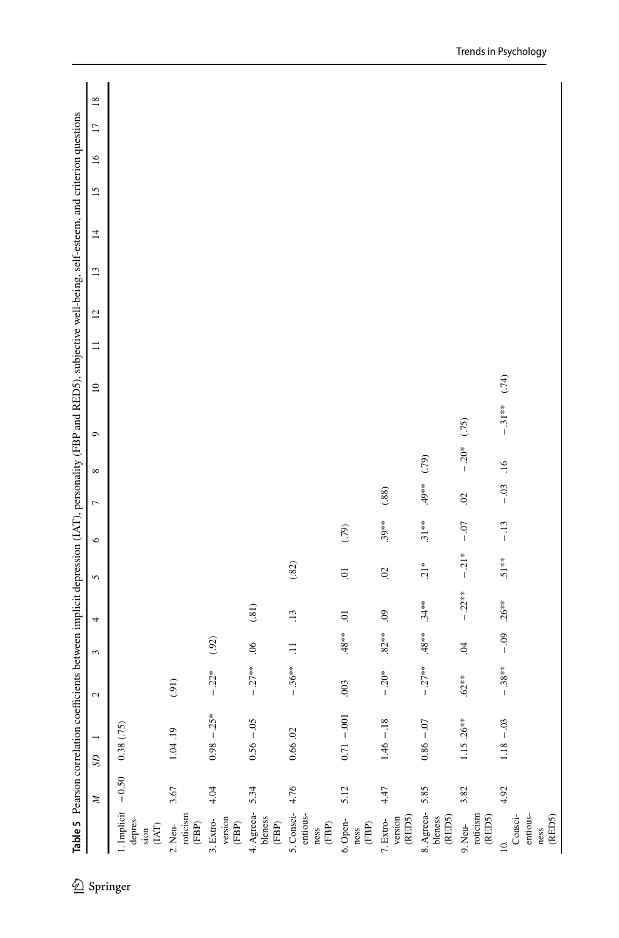<span id="page-13-0"></span>

| 2 Springer |                                                                 | N       | SD           |                | $\overline{\mathcal{L}}$ | 3              | Table 5 Pearson correlation coefficients between implicit depression (IAT), personality (FBP and RED5), subjective well-being, self-esteem, and criterion questions<br>4 | 5              | $\circ$  | $\overline{ }$ | ${}^{\circ}$     | $\circ$  | $\approx$ | $\equiv$ | $\overline{c}$ | 13 | $\overline{4}$ | $\overline{15}$ | $\overline{16}$ | $\Box$ | $\overline{18}$ |
|------------|-----------------------------------------------------------------|---------|--------------|----------------|--------------------------|----------------|--------------------------------------------------------------------------------------------------------------------------------------------------------------------------|----------------|----------|----------------|------------------|----------|-----------|----------|----------------|----|----------------|-----------------|-----------------|--------|-----------------|
|            | 1. Implicit<br>depres-<br>$\left( \mathrm{LAT} \right)$<br>sion | $-0.50$ | 0.38(.75)    |                |                          |                |                                                                                                                                                                          |                |          |                |                  |          |           |          |                |    |                |                 |                 |        |                 |
|            | roticism<br>$(\mathsf{FBP})$<br>2. Neu-                         | 3.67    | 1.04.19      |                | (91)                     |                |                                                                                                                                                                          |                |          |                |                  |          |           |          |                |    |                |                 |                 |        |                 |
|            | version<br>3. Extro-<br>$(\mathsf{FBP})$                        | 4.04    |              | $0.98 - 25*$   | $-.22*$                  | $(92)$         |                                                                                                                                                                          |                |          |                |                  |          |           |          |                |    |                |                 |                 |        |                 |
|            | 4. Agreea-<br>bleness<br>$(\mathsf{FBP})$                       | 5.34    |              | $0.56 - 05$    | $-.27**$                 | $\frac{6}{2}$  | (.81)                                                                                                                                                                    |                |          |                |                  |          |           |          |                |    |                |                 |                 |        |                 |
|            | 5. Consci-<br>entious-<br>$\stackrel{\tt mes}{(\tt{FBP})}$      | 4.76    | 0.66.02      |                | $-.36**$                 | $\equiv$       | $\overline{13}$                                                                                                                                                          | (.82)          |          |                |                  |          |           |          |                |    |                |                 |                 |        |                 |
|            | 6. Open-<br>$(\mathsf{FBP})$<br>ness                            | 5.12    |              | $0.71 - 0.001$ | .003                     | $48**$         | ā                                                                                                                                                                        | $\Xi$          | (79)     |                |                  |          |           |          |                |    |                |                 |                 |        |                 |
|            | $\tt (REDS)$<br>version<br>7. Extro-                            | 4.47    |              | $1.46 - 18$    | $-.20*$                  | $.82**$        | $\overline{6}$                                                                                                                                                           | $\overline{c}$ | $.39***$ | (.88)          |                  |          |           |          |                |    |                |                 |                 |        |                 |
|            | 8. Agreea-<br>$\tt (REDS)$<br>bleness                           | 5.85    | $0.86 - .07$ |                | $-.27**$                 | $.48**$        | $.34**$                                                                                                                                                                  | $.21*$         | $.31***$ | $49**$         | (79)             |          |           |          |                |    |                |                 |                 |        |                 |
|            | roticism<br>$(\mathbb{RED5})$<br>9. Neu-                        | 3.82    |              | $1.15.26***$   | $.62**$                  | $\overline{0}$ | $-.22**$                                                                                                                                                                 | $-21*$         | $-0.07$  | 02             | $-.20*$          | (75)     |           |          |                |    |                |                 |                 |        |                 |
|            | entious-<br>$\tt (RED5)$<br>Consci-<br>ness<br>$\approx$        | 4.92    |              | $1.18 - 0.03$  | $-38**$                  | $-0.9$         | $.26***$                                                                                                                                                                 | $.51***$       | $-13$    | $-0.3$         | $\overline{.16}$ | $-.31**$ | (.74)     |          |                |    |                |                 |                 |        |                 |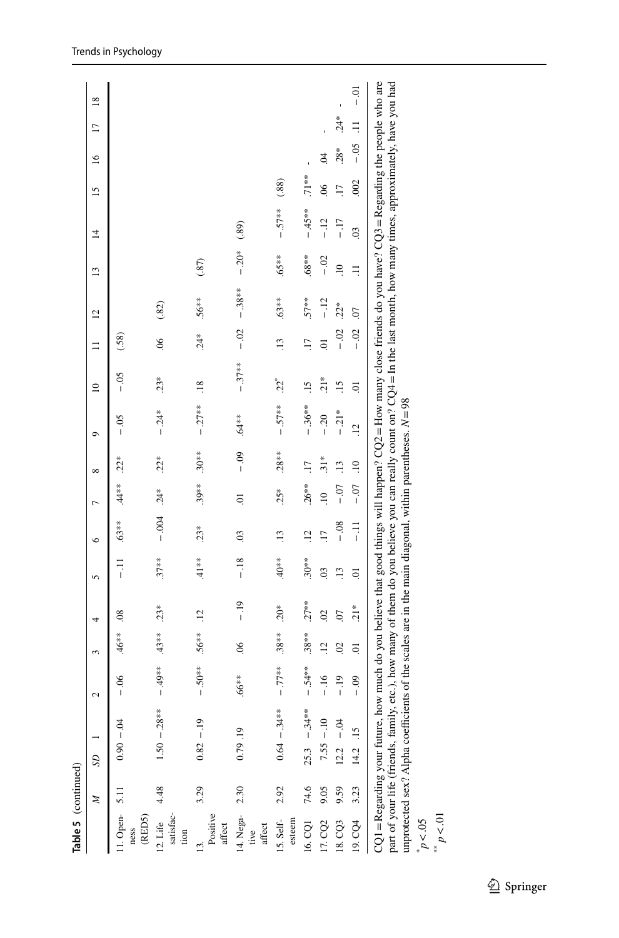| Table 5 (continued)                     |      |                                                                                                                                                                                                                                                                                                                                                                                                                                                           |                 |                 |                          |                 |                 |                 |                |            |                  |                 |                |               |                |                 |               |       |                |
|-----------------------------------------|------|-----------------------------------------------------------------------------------------------------------------------------------------------------------------------------------------------------------------------------------------------------------------------------------------------------------------------------------------------------------------------------------------------------------------------------------------------------------|-----------------|-----------------|--------------------------|-----------------|-----------------|-----------------|----------------|------------|------------------|-----------------|----------------|---------------|----------------|-----------------|---------------|-------|----------------|
|                                         | z    | S                                                                                                                                                                                                                                                                                                                                                                                                                                                         | $\mathbf{\sim}$ | ξ               | 4                        | 5               | $\circ$         | $\overline{ }$  | $\infty$       | Ò          | $\approx$        | $\equiv$        | $\overline{c}$ | $\frac{3}{2}$ | $\overline{4}$ | $\overline{15}$ | $\frac{6}{1}$ | Ξ     | $\frac{8}{18}$ |
| 11. Open-<br>(RED5)<br>ness             | 5.11 | $-0.90 - 04$                                                                                                                                                                                                                                                                                                                                                                                                                                              | $-0.6$          | $.46**$         | $\approx$                | ミー              | $.63**$         | $.44**$         | $22*$          | $-0.5$     | $-0.5$           | (.58)           |                |               |                |                 |               |       |                |
| satisfac-<br>12. Life<br>tion           | 4.48 | $1.50 - 0.28***$                                                                                                                                                                                                                                                                                                                                                                                                                                          | $-49**$         | $.43***$        | $.23*$                   | $.37***$        | $-0.004$        | $.24*$          | $.22*$         | $-0.24*$   | $23*$            | $\approx$       | (82)           |               |                |                 |               |       |                |
| Positive<br>affect<br>$\overline{13}$ . | 3.29 | $0.82 - 19$                                                                                                                                                                                                                                                                                                                                                                                                                                               | $-50**$         | $.56**$         | Ξ.                       | $.41**$         | $23*$           | $.39***$        | $.30**$        | $-27**$    | $\overline{.18}$ | $.24*$          | $.56**$        | (35)          |                |                 |               |       |                |
| 14. Nega-<br>affect<br>tive             | 2.30 | 0.79.19                                                                                                                                                                                                                                                                                                                                                                                                                                                   | $.66**$         | $\frac{6}{2}$   | $-19$                    | $-18$           | $\overline{0}$  | ā               | $-0.9$         | \$**∂.     | $-37**$          | $-02$           | $-38**$        | $-20*$        | (89)           |                 |               |       |                |
| 15. Self-<br>esteem                     | 2.92 | $0.64 - 34***$                                                                                                                                                                                                                                                                                                                                                                                                                                            | $-77**$         | $.38***$        | $20*$                    | $*80*$          | $\ddot{13}$     | $25*$           | $.28***$       | $-.57**$   | $22^*$           | $\overline{13}$ | $.63**$        | $.65**$       | $-.57**$       | (.88)           |               |       |                |
| 16. CQ1                                 | 74.6 | $25.3 - 34***$                                                                                                                                                                                                                                                                                                                                                                                                                                            | $-54**$         | $.38**$         | $.27**$                  | $.30**$         | $\ddot{5}$      | $.26***$        |                | $-.36**$   | $\ddot{5}$       | $\overline{11}$ | $.57**$        | $***89.$      | $-45**$        | $.71**$         |               |       |                |
| 17. CQ2                                 | 9.05 | $7.55 - 10$                                                                                                                                                                                                                                                                                                                                                                                                                                               | $-16$           | $\overline{12}$ | $\overline{\mathcal{S}}$ | $\overline{0}$  | $\overline{17}$ | $\overline{10}$ | $31*$          | $-20$      | $21*$            | $\overline{a}$  | $-12$          | $-0.02$       | $-12$          | $\frac{8}{2}$   | S.            |       |                |
| 18. CQ3                                 | 9.59 | $-0.4$<br>12.2                                                                                                                                                                                                                                                                                                                                                                                                                                            | $-19$           | $\overline{0}$  | 50                       | $\overline{13}$ | $-0.8$          | $-0.07$         | $\frac{13}{2}$ | $-21*$     | $\overline{15}$  | $-02$           | $.22*$         | $\Xi$         | $-17$          | $\overline{11}$ | $28*$         | $24*$ |                |
| 19. CQ4                                 | 3.23 | $-15$<br>$14.2$ .                                                                                                                                                                                                                                                                                                                                                                                                                                         | $-0.9$          | $\overline{a}$  | $21*$                    | Ξ.              | $\frac{1}{1}$   | $-0.7$          | $\ddot{=}$     | $\ddot{5}$ | ā                | $-0.02$         | $\omega$       | Ę             | $\overline{0}$ | .002            | $-0.5$        | Ξ     | $-0.1$         |
| p < 01<br>p < 0.5                       |      | CQ1 = Regarding your future, how much do you believe that good things will happen? CQ2 = How many close friends do you have? CQ3 = Regarding the people who are<br>part of your life (friends, family, etc.), how many of them do you believe you can really count on? $CQ4 = In$ the last month, how many times, approximately, have you had<br>unprotected sex? Alpha coefficients of the scales are in the main diagonal, within parentheses. $N = 98$ |                 |                 |                          |                 |                 |                 |                |            |                  |                 |                |               |                |                 |               |       |                |

Trends in Psychology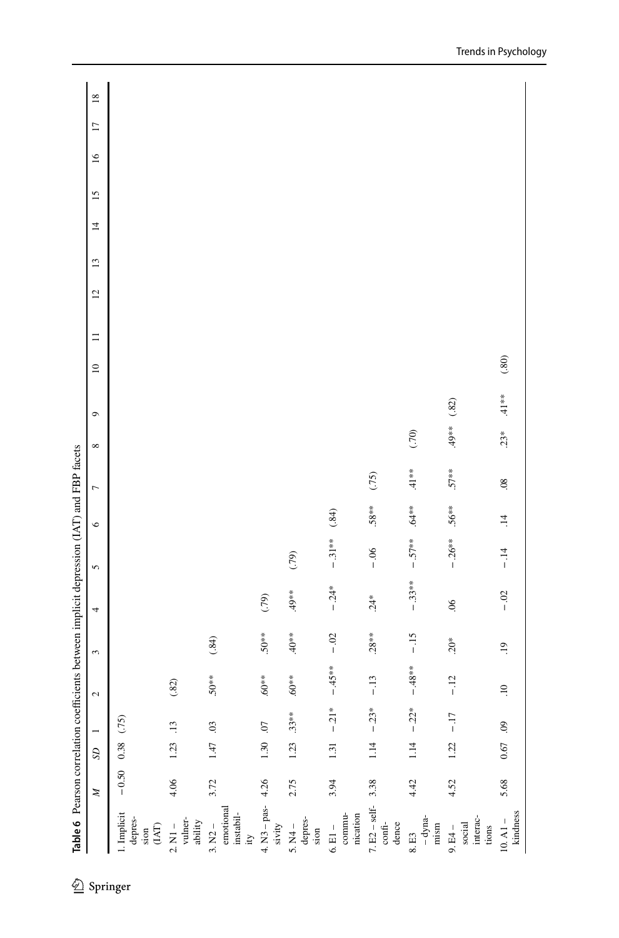|                                                             | Z    | $\mathcal{L}$      |                 | $\sim$          | 3                | 4        | 5         | $\circ$   | $\overline{ }$  | ${}^{\circ}$ | $\circ$ | $\overline{a}$ | $\equiv$ | $\overline{c}$ | $\mathbf{r}$ | $\overline{4}$ | $\overline{15}$ | $\tilde{1}$ | $\Box$ | $\frac{8}{18}$ |
|-------------------------------------------------------------|------|--------------------|-----------------|-----------------|------------------|----------|-----------|-----------|-----------------|--------------|---------|----------------|----------|----------------|--------------|----------------|-----------------|-------------|--------|----------------|
| 1. Implicit<br>depres-<br>(IAT)<br>sion                     |      | $-0.50$ 0.38 (.75) |                 |                 |                  |          |           |           |                 |              |         |                |          |                |              |                |                 |             |        |                |
| vulner-<br>ability<br>$2. N1 -$                             | 4.06 | 1.23               | $\overline{13}$ | $(.82)$         |                  |          |           |           |                 |              |         |                |          |                |              |                |                 |             |        |                |
| emotional<br>$in {\rm stabil}$ -<br>$3. N2 -$<br>$\ddot{u}$ | 3.72 | 1.47               | 03              | $.50**$         | (.84)            |          |           |           |                 |              |         |                |          |                |              |                |                 |             |        |                |
| $4. N3 - pas-$<br>sivity                                    | 4.26 | $1.30\,$           | $\overline{C}$  | $**09.$         | $50**$           | (79)     |           |           |                 |              |         |                |          |                |              |                |                 |             |        |                |
| depres-<br>$5. N4 -$<br>sion                                | 2.75 |                    | $1.23$ $.33***$ | $.60**$         | $*80*$           | $49**$   | (5, 7)    |           |                 |              |         |                |          |                |              |                |                 |             |        |                |
| commu-<br>nication<br>$6.$ El $-$                           | 3.94 | $1.31\,$           | $-.21*$         | $-45**$         | $-0.02$          | $-0.24*$ | $-31**$   | $(.84)$   |                 |              |         |                |          |                |              |                |                 |             |        |                |
| $7. E2 - self-$<br>confi-<br>dence                          | 3.38 | 1.14               | $-.23*$         | $-13$           | $.28***$         | $24*$    | $-0.06$   | $.58**$   | (75)            |              |         |                |          |                |              |                |                 |             |        |                |
| $-dyna-$<br>mism<br>8. E3                                   | 4.42 | $1.14\,$           | $-.22*$         | $-48**$         | $-15$            | $-.33**$ | $-.57***$ | .64**     | $41**$          | (70)         |         |                |          |                |              |                |                 |             |        |                |
| interac-<br>social<br>$9. E4 -$<br>tions                    | 4.52 | 1.22               | $-17$           | $-.12$          | $.20*$           | $\sim$   | $-26**$   | $.56**$   | $.57**$         | $49**$       | $(.82)$ |                |          |                |              |                |                 |             |        |                |
| kindness<br>$10. A1 -$                                      | 5.68 | $0.67\,$           | 60.             | $\overline{10}$ | $\overline{.}19$ | $-0$ .   | $-14$     | $\vec{=}$ | $\overline{08}$ | $23*$        | $41**$  | $(.80)$        |          |                |              |                |                 |             |        |                |
|                                                             |      |                    |                 |                 |                  |          |           |           |                 |              |         |                |          |                |              |                |                 |             |        |                |

<span id="page-15-0"></span> $\mathbb{E}$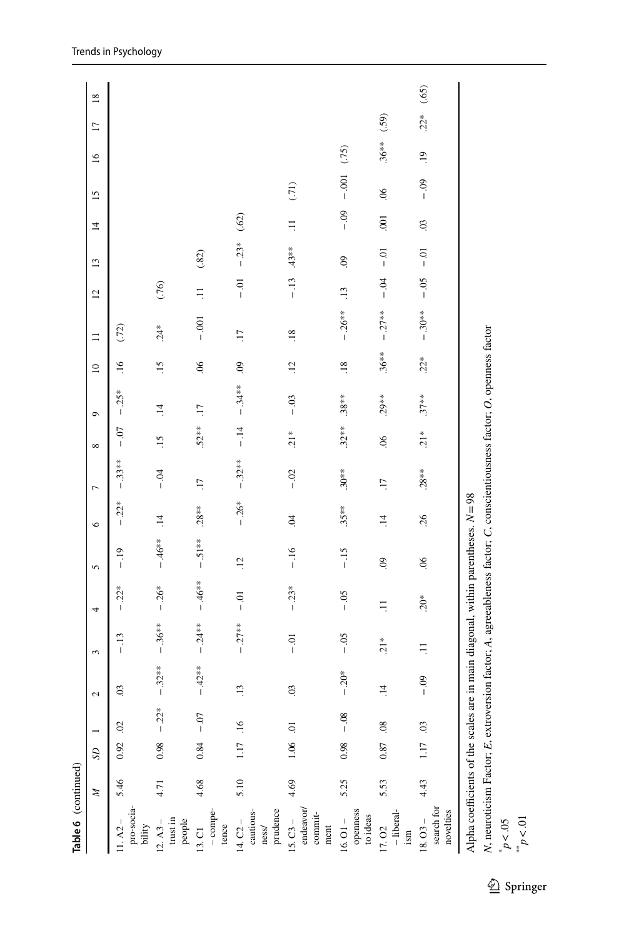| a |  |
|---|--|
|   |  |
|   |  |

| Table 6 (continued)                                                                                                                                                                                            |      |               |         |                |                  |         |                |                 |                |               |                |                           |          |                |                     |            |                 |            |                 |                 |
|----------------------------------------------------------------------------------------------------------------------------------------------------------------------------------------------------------------|------|---------------|---------|----------------|------------------|---------|----------------|-----------------|----------------|---------------|----------------|---------------------------|----------|----------------|---------------------|------------|-----------------|------------|-----------------|-----------------|
|                                                                                                                                                                                                                | Z    | $\mathcal{S}$ |         | $\sim$         | 3                | 4       | 5              | $\circ$         | $\overline{ }$ | ${}^{\circ}$  | $\sigma$       | $\overline{10}$           | $\equiv$ | $\overline{c}$ | $\mathbf{r}$        | 4          | $\overline{15}$ | $\geq$     | $\overline{17}$ | $\overline{18}$ |
| pro-socia-<br>$11. A2 -$<br>bility                                                                                                                                                                             | 5.46 | $0.92$ . 02   |         | $\overline{c}$ | $-13$            | $-.22*$ | $-19$          | $-.22*$         | $-33**$        | $-0.07$       | $-.25*$        | $\ddot{=}$                | (72)     |                |                     |            |                 |            |                 |                 |
| $\mbox{trust}$ in<br>$12. A3 -$<br>people                                                                                                                                                                      | 4.71 | 0.98          | $-.22*$ | $-.32**$       | $-36**$          | $-.26*$ | $-46**$        | $\overline{14}$ | $-0.4$         | $\ddot{5}$    | $\overline{1}$ | $\ddot{5}$                | $24*$    | (76)           |                     |            |                 |            |                 |                 |
| -compe-<br>tence<br>13. C1                                                                                                                                                                                     | 4.68 | 0.84          | $-0$    | $-42**$        | $-24**$          | $-46**$ | $-51**$        | $.28***$        | LI.            | $.52***$      | $\overline{L}$ | $\widetilde{\mathcal{S}}$ | $-0.001$ | Ξ              | $(.82)$             |            |                 |            |                 |                 |
| prudence<br>cautious-<br>$14. C2 -$<br>ness/                                                                                                                                                                   | 5.10 | 1.17 .16      |         | $\ddot{13}$    | $-27**$          | $-0.1$  | $\ddot{5}$     | $-.26*$         | $-32**$        | $-14$         | $-34**$        | $\ddot{\circ}$            | LT.      | $-0.1$         | $-.23*$ (.62)       |            |                 |            |                 |                 |
| endeavor/<br>commit-<br>$15. C3 -$<br>ment                                                                                                                                                                     | 4.69 | $1.06$ 0.1    |         | $\overline{0}$ | $\overline{0}$ . | $-.23*$ | $-16$          | $\ddot{5}$      | $-0.02$        | $21*$         | $-0.3$         | $\overline{12}$           | .18      | $-13$          | $.43**$             | Ξ          | (71)            |            |                 |                 |
| openness<br>to ideas<br>$16.01 -$                                                                                                                                                                              | 5.25 | 0.98          | $-0.08$ | $-20*$         | $-0.5$           | $-0.5$  | $-15$          | $.35**$         | $.30**$        | $.32***$      | $.38***$       | $\overline{.18}$          | $-26**$  | $\ddot{13}$    | $\ddot{\mathrm{6}}$ | $-0.09$    | $-0.001$        | (75)       |                 |                 |
| -liberal-<br>17.02<br>ism                                                                                                                                                                                      | 5.53 | 0.87 0.8      |         | $\ddot{=}$     | $21*$            | $\Xi$   | $\overline{6}$ | $\ddot{=}$      | Li.            | 06            | $.29**$        | $.36***$                  | $-27**$  | $-9$           | $-0.01$             | $001$      | $\overline{0}$  | $.36**$    | (.59)           |                 |
| search for<br>novelties<br>$18.03 -$                                                                                                                                                                           | 4.43 | 1.17 .03      |         | $-0.9$         | $\Xi$            | $20*$   | $\frac{8}{2}$  | 26              | $.28***$       | $\frac{1}{2}$ | $.37**$        | $22*$                     | $-30**$  | $-0.5$         | $-0$                | $\ddot{0}$ | $-0.9$          | $\ddot{.}$ | $22*$           | (.65)           |
| N, neuroticism Factor; E, extroversion factor; A, agreeableness factor; C, conscientiousness factor; O, openness factor<br>Alpha coefficients of the scales are in main diagonal, within parentheses. $N = 98$ |      |               |         |                |                  |         |                |                 |                |               |                |                           |          |                |                     |            |                 |            |                 |                 |

\* *p*<.05 \*\* *p*<.01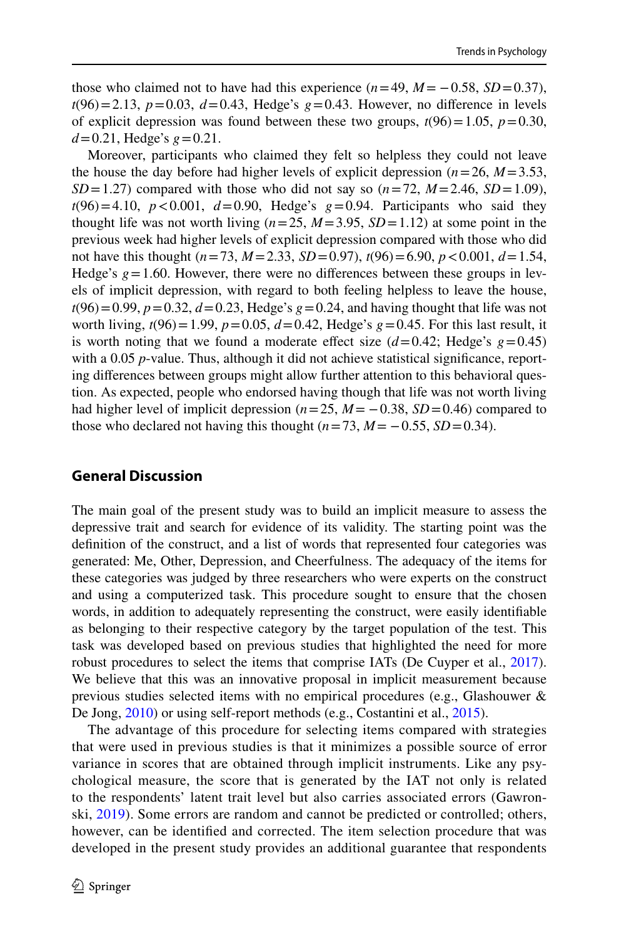those who claimed not to have had this experience  $(n=49, M=-0.58, SD=0.37)$ ,  $t(96)=2.13$ ,  $p=0.03$ ,  $d=0.43$ , Hedge's  $g=0.43$ . However, no difference in levels of explicit depression was found between these two groups,  $t(96)=1.05$ ,  $p=0.30$ , *d*=0.21, Hedge's *g*=0.21.

Moreover, participants who claimed they felt so helpless they could not leave the house the day before had higher levels of explicit depression  $(n=26, M=3.53,$  $SD = 1.27$  compared with those who did not say so  $(n=72, M=2.46, SD=1.09)$ ,  $t(96)=4.10$ ,  $p < 0.001$ ,  $d=0.90$ , Hedge's  $g=0.94$ . Participants who said they thought life was not worth living  $(n=25, M=3.95, SD=1.12)$  at some point in the previous week had higher levels of explicit depression compared with those who did not have this thought (*n*=73, *M*=2.33, *SD*=0.97), *t*(96)=6.90, *p*<0.001, *d*=1.54, Hedge's  $g = 1.60$ . However, there were no differences between these groups in levels of implicit depression, with regard to both feeling helpless to leave the house,  $t(96)=0.99$ ,  $p=0.32$ ,  $d=0.23$ , Hedge's  $g=0.24$ , and having thought that life was not worth living,  $t(96) = 1.99$ ,  $p = 0.05$ ,  $d = 0.42$ , Hedge's  $g = 0.45$ . For this last result, it is worth noting that we found a moderate effect size  $(d=0.42; \text{Hedge's } g=0.45)$ with a 0.05 *p*-value. Thus, although it did not achieve statistical significance, reporting diferences between groups might allow further attention to this behavioral question. As expected, people who endorsed having though that life was not worth living had higher level of implicit depression  $(n=25, M=-0.38, SD=0.46)$  compared to those who declared not having this thought  $(n=73, M=-0.55, SD=0.34)$ .

# **General Discussion**

The main goal of the present study was to build an implicit measure to assess the depressive trait and search for evidence of its validity. The starting point was the defnition of the construct, and a list of words that represented four categories was generated: Me, Other, Depression, and Cheerfulness. The adequacy of the items for these categories was judged by three researchers who were experts on the construct and using a computerized task. This procedure sought to ensure that the chosen words, in addition to adequately representing the construct, were easily identifable as belonging to their respective category by the target population of the test. This task was developed based on previous studies that highlighted the need for more robust procedures to select the items that comprise IATs (De Cuyper et al., [2017\)](#page-22-1). We believe that this was an innovative proposal in implicit measurement because previous studies selected items with no empirical procedures (e.g., Glashouwer & De Jong, [2010\)](#page-23-11) or using self-report methods (e.g., Costantini et al., [2015](#page-22-6)).

The advantage of this procedure for selecting items compared with strategies that were used in previous studies is that it minimizes a possible source of error variance in scores that are obtained through implicit instruments. Like any psychological measure, the score that is generated by the IAT not only is related to the respondents' latent trait level but also carries associated errors (Gawronski, [2019](#page-23-17)). Some errors are random and cannot be predicted or controlled; others, however, can be identifed and corrected. The item selection procedure that was developed in the present study provides an additional guarantee that respondents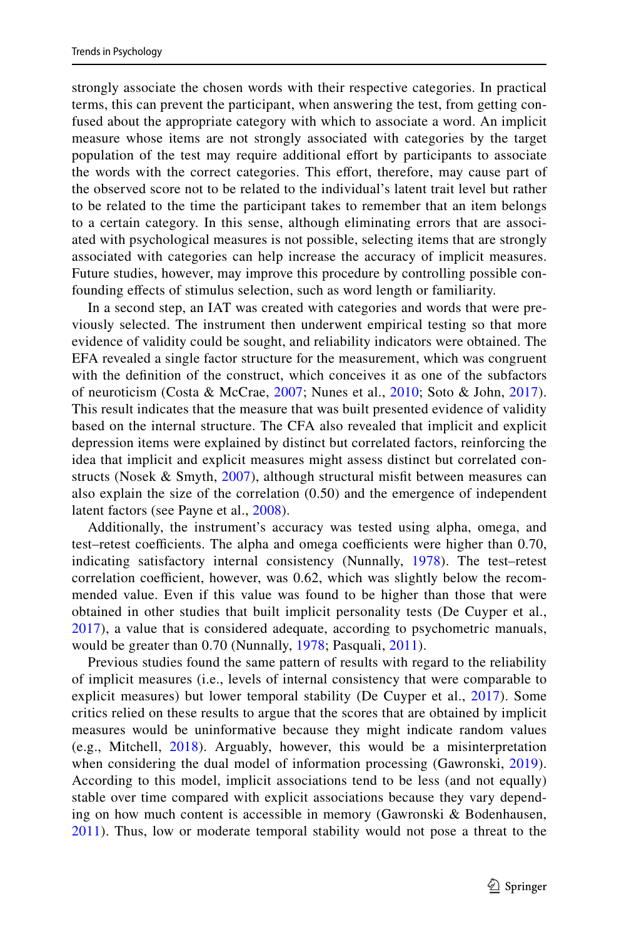strongly associate the chosen words with their respective categories. In practical terms, this can prevent the participant, when answering the test, from getting confused about the appropriate category with which to associate a word. An implicit measure whose items are not strongly associated with categories by the target population of the test may require additional effort by participants to associate the words with the correct categories. This effort, therefore, may cause part of the observed score not to be related to the individual's latent trait level but rather to be related to the time the participant takes to remember that an item belongs to a certain category. In this sense, although eliminating errors that are associated with psychological measures is not possible, selecting items that are strongly associated with categories can help increase the accuracy of implicit measures. Future studies, however, may improve this procedure by controlling possible confounding efects of stimulus selection, such as word length or familiarity.

In a second step, an IAT was created with categories and words that were previously selected. The instrument then underwent empirical testing so that more evidence of validity could be sought, and reliability indicators were obtained. The EFA revealed a single factor structure for the measurement, which was congruent with the defnition of the construct, which conceives it as one of the subfactors of neuroticism (Costa & McCrae, [2007](#page-22-0); Nunes et al., [2010;](#page-24-1) Soto & John, [2017](#page-25-3)). This result indicates that the measure that was built presented evidence of validity based on the internal structure. The CFA also revealed that implicit and explicit depression items were explained by distinct but correlated factors, reinforcing the idea that implicit and explicit measures might assess distinct but correlated constructs (Nosek & Smyth, [2007](#page-24-12)), although structural misft between measures can also explain the size of the correlation (0.50) and the emergence of independent latent factors (see Payne et al., [2008](#page-25-10)).

Additionally, the instrument's accuracy was tested using alpha, omega, and test–retest coefficients. The alpha and omega coefficients were higher than 0.70, indicating satisfactory internal consistency (Nunnally, [1978](#page-24-17)). The test–retest correlation coefficient, however, was 0.62, which was slightly below the recommended value. Even if this value was found to be higher than those that were obtained in other studies that built implicit personality tests (De Cuyper et al., [2017\)](#page-22-1), a value that is considered adequate, according to psychometric manuals, would be greater than 0.70 (Nunnally, [1978;](#page-24-17) Pasquali, [2011](#page-25-16)).

Previous studies found the same pattern of results with regard to the reliability of implicit measures (i.e., levels of internal consistency that were comparable to explicit measures) but lower temporal stability (De Cuyper et al., [2017](#page-22-1)). Some critics relied on these results to argue that the scores that are obtained by implicit measures would be uninformative because they might indicate random values (e.g., Mitchell, [2018](#page-24-18)). Arguably, however, this would be a misinterpretation when considering the dual model of information processing (Gawronski, [2019](#page-23-17)). According to this model, implicit associations tend to be less (and not equally) stable over time compared with explicit associations because they vary depending on how much content is accessible in memory (Gawronski & Bodenhausen, [2011\)](#page-23-18). Thus, low or moderate temporal stability would not pose a threat to the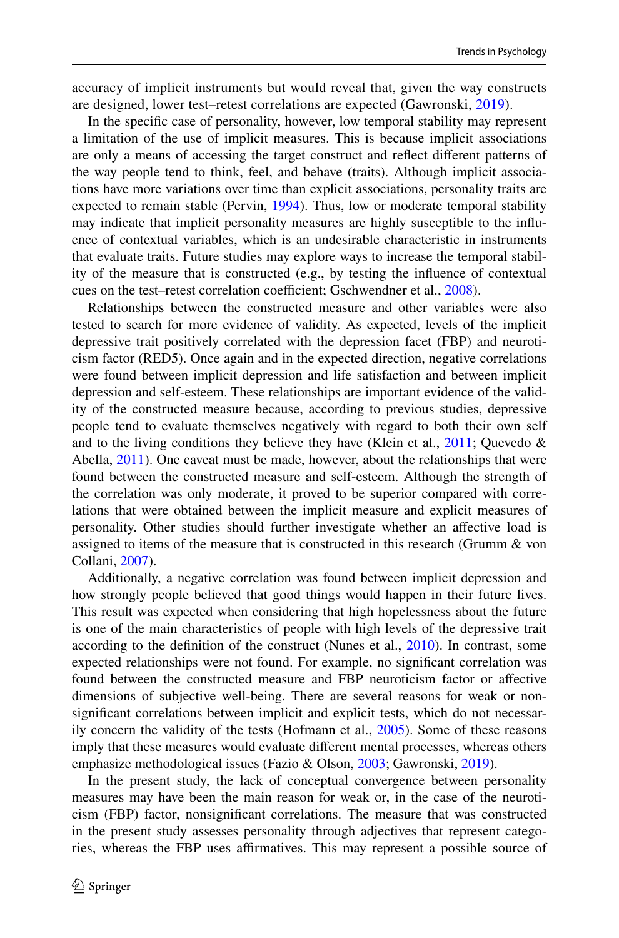accuracy of implicit instruments but would reveal that, given the way constructs are designed, lower test–retest correlations are expected (Gawronski, [2019\)](#page-23-17).

In the specifc case of personality, however, low temporal stability may represent a limitation of the use of implicit measures. This is because implicit associations are only a means of accessing the target construct and refect diferent patterns of the way people tend to think, feel, and behave (traits). Although implicit associations have more variations over time than explicit associations, personality traits are expected to remain stable (Pervin, [1994](#page-25-17)). Thus, low or moderate temporal stability may indicate that implicit personality measures are highly susceptible to the infuence of contextual variables, which is an undesirable characteristic in instruments that evaluate traits. Future studies may explore ways to increase the temporal stability of the measure that is constructed (e.g., by testing the infuence of contextual cues on the test–retest correlation coefficient; Gschwendner et al., [2008\)](#page-23-19).

Relationships between the constructed measure and other variables were also tested to search for more evidence of validity. As expected, levels of the implicit depressive trait positively correlated with the depression facet (FBP) and neuroticism factor (RED5). Once again and in the expected direction, negative correlations were found between implicit depression and life satisfaction and between implicit depression and self-esteem. These relationships are important evidence of the validity of the constructed measure because, according to previous studies, depressive people tend to evaluate themselves negatively with regard to both their own self and to the living conditions they believe they have (Klein et al., [2011;](#page-24-0) Quevedo  $\&$ Abella, [2011\)](#page-25-0). One caveat must be made, however, about the relationships that were found between the constructed measure and self-esteem. Although the strength of the correlation was only moderate, it proved to be superior compared with correlations that were obtained between the implicit measure and explicit measures of personality. Other studies should further investigate whether an afective load is assigned to items of the measure that is constructed in this research (Grumm & von Collani, [2007](#page-23-9)).

Additionally, a negative correlation was found between implicit depression and how strongly people believed that good things would happen in their future lives. This result was expected when considering that high hopelessness about the future is one of the main characteristics of people with high levels of the depressive trait according to the defnition of the construct (Nunes et al., [2010\)](#page-24-1). In contrast, some expected relationships were not found. For example, no signifcant correlation was found between the constructed measure and FBP neuroticism factor or afective dimensions of subjective well-being. There are several reasons for weak or nonsignifcant correlations between implicit and explicit tests, which do not necessarily concern the validity of the tests (Hofmann et al., [2005\)](#page-23-10). Some of these reasons imply that these measures would evaluate diferent mental processes, whereas others emphasize methodological issues (Fazio & Olson, [2003;](#page-23-1) Gawronski, [2019\)](#page-23-17).

In the present study, the lack of conceptual convergence between personality measures may have been the main reason for weak or, in the case of the neuroticism (FBP) factor, nonsignifcant correlations. The measure that was constructed in the present study assesses personality through adjectives that represent categories, whereas the FBP uses affirmatives. This may represent a possible source of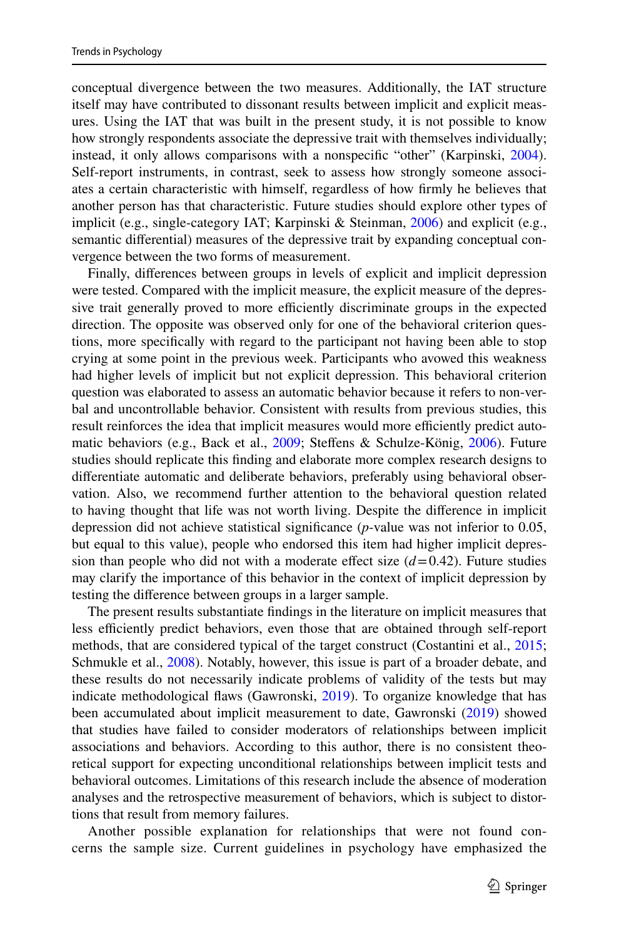conceptual divergence between the two measures. Additionally, the IAT structure itself may have contributed to dissonant results between implicit and explicit measures. Using the IAT that was built in the present study, it is not possible to know how strongly respondents associate the depressive trait with themselves individually; instead, it only allows comparisons with a nonspecifc "other" (Karpinski, [2004\)](#page-24-19). Self-report instruments, in contrast, seek to assess how strongly someone associates a certain characteristic with himself, regardless of how frmly he believes that another person has that characteristic. Future studies should explore other types of implicit (e.g., single-category IAT; Karpinski & Steinman, [2006\)](#page-24-20) and explicit (e.g., semantic diferential) measures of the depressive trait by expanding conceptual convergence between the two forms of measurement.

Finally, diferences between groups in levels of explicit and implicit depression were tested. Compared with the implicit measure, the explicit measure of the depressive trait generally proved to more efficiently discriminate groups in the expected direction. The opposite was observed only for one of the behavioral criterion questions, more specifcally with regard to the participant not having been able to stop crying at some point in the previous week. Participants who avowed this weakness had higher levels of implicit but not explicit depression. This behavioral criterion question was elaborated to assess an automatic behavior because it refers to non-verbal and uncontrollable behavior. Consistent with results from previous studies, this result reinforces the idea that implicit measures would more efficiently predict automatic behaviors (e.g., Back et al., [2009;](#page-22-8) Stefens & Schulze-König, [2006\)](#page-25-18). Future studies should replicate this fnding and elaborate more complex research designs to diferentiate automatic and deliberate behaviors, preferably using behavioral observation. Also, we recommend further attention to the behavioral question related to having thought that life was not worth living. Despite the diference in implicit depression did not achieve statistical signifcance (*p*-value was not inferior to 0.05, but equal to this value), people who endorsed this item had higher implicit depression than people who did not with a moderate effect size  $(d=0.42)$ . Future studies may clarify the importance of this behavior in the context of implicit depression by testing the diference between groups in a larger sample.

The present results substantiate fndings in the literature on implicit measures that less efficiently predict behaviors, even those that are obtained through self-report methods, that are considered typical of the target construct (Costantini et al., [2015;](#page-22-6) Schmukle et al., [2008\)](#page-25-8). Notably, however, this issue is part of a broader debate, and these results do not necessarily indicate problems of validity of the tests but may indicate methodological flaws (Gawronski, [2019\)](#page-23-17). To organize knowledge that has been accumulated about implicit measurement to date, Gawronski [\(2019](#page-23-17)) showed that studies have failed to consider moderators of relationships between implicit associations and behaviors. According to this author, there is no consistent theoretical support for expecting unconditional relationships between implicit tests and behavioral outcomes. Limitations of this research include the absence of moderation analyses and the retrospective measurement of behaviors, which is subject to distortions that result from memory failures.

Another possible explanation for relationships that were not found concerns the sample size. Current guidelines in psychology have emphasized the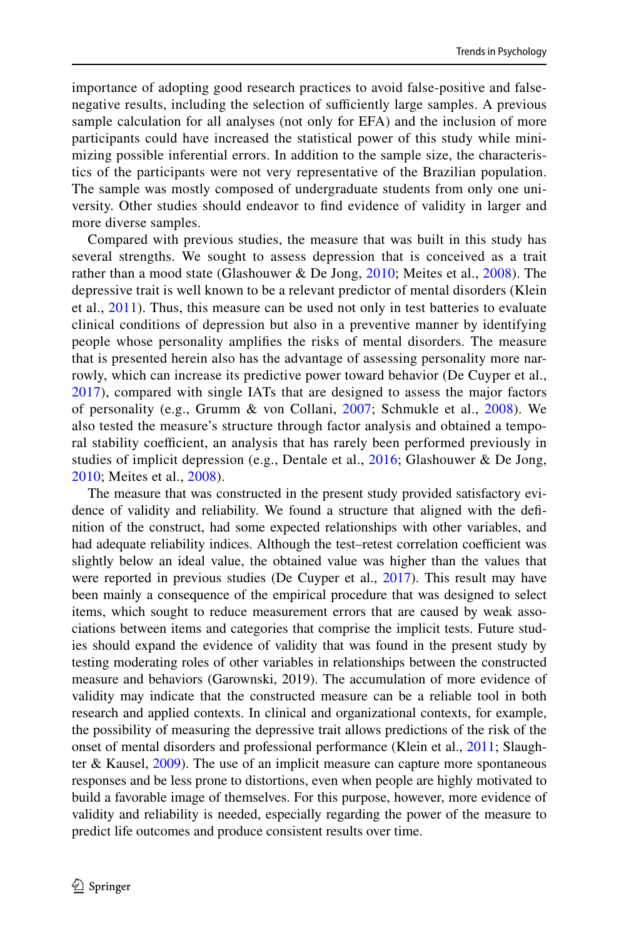importance of adopting good research practices to avoid false-positive and falsenegative results, including the selection of sufficiently large samples. A previous sample calculation for all analyses (not only for EFA) and the inclusion of more participants could have increased the statistical power of this study while minimizing possible inferential errors. In addition to the sample size, the characteristics of the participants were not very representative of the Brazilian population. The sample was mostly composed of undergraduate students from only one university. Other studies should endeavor to fnd evidence of validity in larger and more diverse samples.

Compared with previous studies, the measure that was built in this study has several strengths. We sought to assess depression that is conceived as a trait rather than a mood state (Glashouwer & De Jong, [2010;](#page-23-11) Meites et al., [2008\)](#page-24-8). The depressive trait is well known to be a relevant predictor of mental disorders (Klein et al., [2011\)](#page-24-0). Thus, this measure can be used not only in test batteries to evaluate clinical conditions of depression but also in a preventive manner by identifying people whose personality amplifes the risks of mental disorders. The measure that is presented herein also has the advantage of assessing personality more narrowly, which can increase its predictive power toward behavior (De Cuyper et al., [2017\)](#page-22-1), compared with single IATs that are designed to assess the major factors of personality (e.g., Grumm & von Collani, [2007;](#page-23-9) Schmukle et al., [2008\)](#page-25-8). We also tested the measure's structure through factor analysis and obtained a temporal stability coefficient, an analysis that has rarely been performed previously in studies of implicit depression (e.g., Dentale et al., [2016](#page-23-12); Glashouwer & De Jong, [2010;](#page-23-11) Meites et al., [2008\)](#page-24-8).

The measure that was constructed in the present study provided satisfactory evidence of validity and reliability. We found a structure that aligned with the defnition of the construct, had some expected relationships with other variables, and had adequate reliability indices. Although the test–retest correlation coefficient was slightly below an ideal value, the obtained value was higher than the values that were reported in previous studies (De Cuyper et al., [2017\)](#page-22-1). This result may have been mainly a consequence of the empirical procedure that was designed to select items, which sought to reduce measurement errors that are caused by weak associations between items and categories that comprise the implicit tests. Future studies should expand the evidence of validity that was found in the present study by testing moderating roles of other variables in relationships between the constructed measure and behaviors (Garownski, 2019). The accumulation of more evidence of validity may indicate that the constructed measure can be a reliable tool in both research and applied contexts. In clinical and organizational contexts, for example, the possibility of measuring the depressive trait allows predictions of the risk of the onset of mental disorders and professional performance (Klein et al., [2011;](#page-24-0) Slaughter  $&$  Kausel,  $2009$ ). The use of an implicit measure can capture more spontaneous responses and be less prone to distortions, even when people are highly motivated to build a favorable image of themselves. For this purpose, however, more evidence of validity and reliability is needed, especially regarding the power of the measure to predict life outcomes and produce consistent results over time.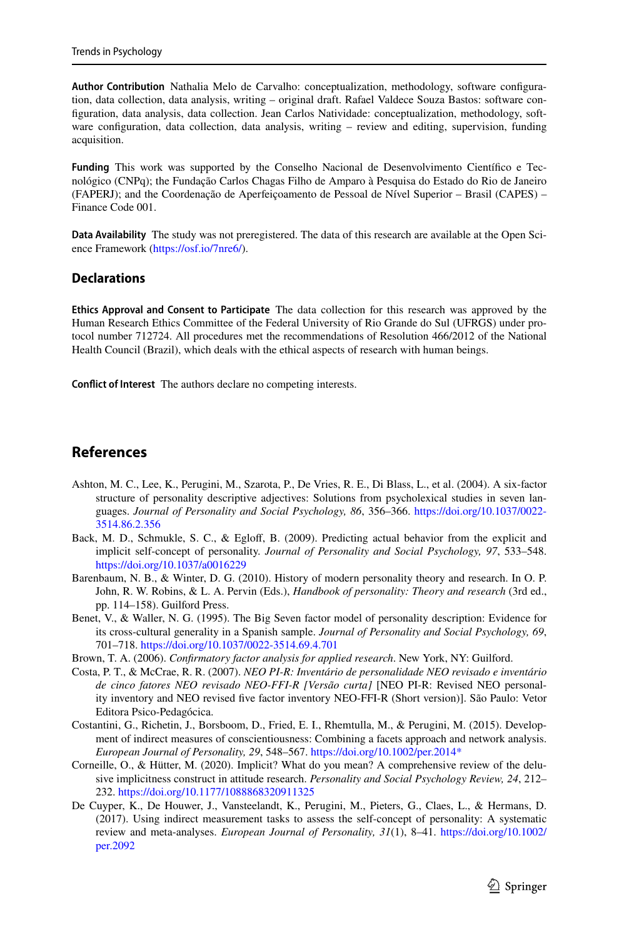**Author Contribution** Nathalia Melo de Carvalho: conceptualization, methodology, software confguration, data collection, data analysis, writing – original draft. Rafael Valdece Souza Bastos: software confguration, data analysis, data collection. Jean Carlos Natividade: conceptualization, methodology, software confguration, data collection, data analysis, writing – review and editing, supervision, funding acquisition.

**Funding** This work was supported by the Conselho Nacional de Desenvolvimento Científco e Tecnológico (CNPq); the Fundação Carlos Chagas Filho de Amparo à Pesquisa do Estado do Rio de Janeiro (FAPERJ); and the Coordenação de Aperfeiçoamento de Pessoal de Nível Superior – Brasil (CAPES) – Finance Code 001.

**Data Availability** The study was not preregistered. The data of this research are available at the Open Science Framework ([https://osf.io/7nre6/\)](https://osf.io/7nre6/).

#### **Declarations**

**Ethics Approval and Consent to Participate** The data collection for this research was approved by the Human Research Ethics Committee of the Federal University of Rio Grande do Sul (UFRGS) under protocol number 712724. All procedures met the recommendations of Resolution 466/2012 of the National Health Council (Brazil), which deals with the ethical aspects of research with human beings.

**Confict of Interest** The authors declare no competing interests.

# **References**

- <span id="page-22-3"></span>Ashton, M. C., Lee, K., Perugini, M., Szarota, P., De Vries, R. E., Di Blass, L., et al. (2004). A six-factor structure of personality descriptive adjectives: Solutions from psycholexical studies in seven languages. *Journal of Personality and Social Psychology, 86*, 356–366. [https://doi.org/10.1037/0022-](https://doi.org/10.1037/0022-3514.86.2.356) [3514.86.2.356](https://doi.org/10.1037/0022-3514.86.2.356)
- <span id="page-22-8"></span>Back, M. D., Schmukle, S. C., & Eglof, B. (2009). Predicting actual behavior from the explicit and implicit self-concept of personality. *Journal of Personality and Social Psychology, 97*, 533–548. <https://doi.org/10.1037/a0016229>
- <span id="page-22-2"></span>Barenbaum, N. B., & Winter, D. G. (2010). History of modern personality theory and research. In O. P. John, R. W. Robins, & L. A. Pervin (Eds.), *Handbook of personality: Theory and research* (3rd ed., pp. 114–158). Guilford Press.
- <span id="page-22-4"></span>Benet, V., & Waller, N. G. (1995). The Big Seven factor model of personality description: Evidence for its cross-cultural generality in a Spanish sample. *Journal of Personality and Social Psychology, 69*, 701–718.<https://doi.org/10.1037/0022-3514.69.4.701>
- <span id="page-22-7"></span>Brown, T. A. (2006). *Confrmatory factor analysis for applied research*. New York, NY: Guilford.
- <span id="page-22-0"></span>Costa, P. T., & McCrae, R. R. (2007). *NEO PI-R: Inventário de personalidade NEO revisado e inventário de cinco fatores NEO revisado NEO-FFI-R [Versão curta]* [NEO PI-R: Revised NEO personality inventory and NEO revised fve factor inventory NEO-FFI-R (Short version)]. São Paulo: Vetor Editora Psico-Pedagócica.
- <span id="page-22-6"></span>Costantini, G., Richetin, J., Borsboom, D., Fried, E. I., Rhemtulla, M., & Perugini, M. (2015). Development of indirect measures of conscientiousness: Combining a facets approach and network analysis. *European Journal of Personality, 29*, 548–567. [https://doi.org/10.1002/per.2014\\*](https://doi.org/10.1002/per.2014*)
- <span id="page-22-5"></span>Corneille, O., & Hütter, M. (2020). Implicit? What do you mean? A comprehensive review of the delusive implicitness construct in attitude research. *Personality and Social Psychology Review, 24*, 212– 232.<https://doi.org/10.1177/1088868320911325>
- <span id="page-22-1"></span>De Cuyper, K., De Houwer, J., Vansteelandt, K., Perugini, M., Pieters, G., Claes, L., & Hermans, D. (2017). Using indirect measurement tasks to assess the self-concept of personality: A systematic review and meta-analyses. *European Journal of Personality, 31*(1), 8–41. [https://doi.org/10.1002/](https://doi.org/10.1002/per.2092) [per.2092](https://doi.org/10.1002/per.2092)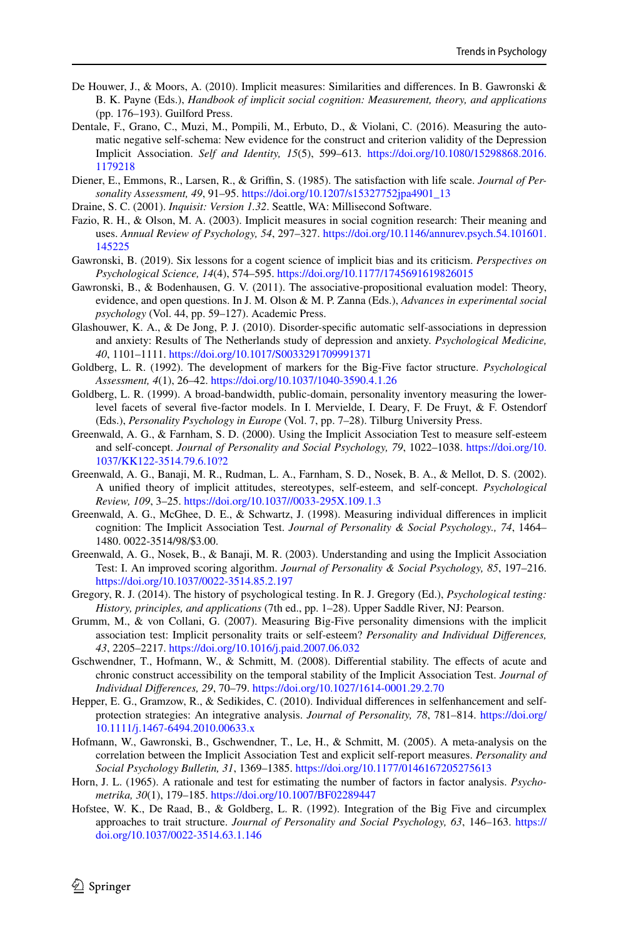- <span id="page-23-6"></span>De Houwer, J., & Moors, A. (2010). Implicit measures: Similarities and diferences. In B. Gawronski & B. K. Payne (Eds.), *Handbook of implicit social cognition: Measurement, theory, and applications* (pp. 176–193). Guilford Press.
- <span id="page-23-12"></span>Dentale, F., Grano, C., Muzi, M., Pompili, M., Erbuto, D., & Violani, C. (2016). Measuring the automatic negative self-schema: New evidence for the construct and criterion validity of the Depression Implicit Association. *Self and Identity, 15*(5), 599–613. [https://doi.org/10.1080/15298868.2016.](https://doi.org/10.1080/15298868.2016.1179218) [1179218](https://doi.org/10.1080/15298868.2016.1179218)
- <span id="page-23-15"></span>Diener, E., Emmons, R., Larsen, R., & Grifn, S. (1985). The satisfaction with life scale. *Journal of Personality Assessment, 49*, 91–95. [https://doi.org/10.1207/s15327752jpa4901\\_13](https://doi.org/10.1207/s15327752jpa4901_13)
- <span id="page-23-14"></span>Draine, S. C. (2001). *Inquisit: Version 1.32*. Seattle, WA: Millisecond Software.
- <span id="page-23-1"></span>Fazio, R. H., & Olson, M. A. (2003). Implicit measures in social cognition research: Their meaning and uses. *Annual Review of Psychology, 54*, 297–327. [https://doi.org/10.1146/annurev.psych.54.101601.](https://doi.org/10.1146/annurev.psych.54.101601.145225) [145225](https://doi.org/10.1146/annurev.psych.54.101601.145225)
- <span id="page-23-17"></span>Gawronski, B. (2019). Six lessons for a cogent science of implicit bias and its criticism. *Perspectives on Psychological Science, 14*(4), 574–595. <https://doi.org/10.1177/1745691619826015>
- <span id="page-23-18"></span>Gawronski, B., & Bodenhausen, G. V. (2011). The associative-propositional evaluation model: Theory, evidence, and open questions. In J. M. Olson & M. P. Zanna (Eds.), *Advances in experimental social psychology* (Vol. 44, pp. 59–127). Academic Press.
- <span id="page-23-11"></span>Glashouwer, K. A., & De Jong, P. J. (2010). Disorder-specifc automatic self-associations in depression and anxiety: Results of The Netherlands study of depression and anxiety. *Psychological Medicine, 40*, 1101–1111.<https://doi.org/10.1017/S0033291709991371>
- <span id="page-23-2"></span>Goldberg, L. R. (1992). The development of markers for the Big-Five factor structure. *Psychological Assessment, 4*(1), 26–42. <https://doi.org/10.1037/1040-3590.4.1.26>
- <span id="page-23-3"></span>Goldberg, L. R. (1999). A broad-bandwidth, public-domain, personality inventory measuring the lowerlevel facets of several fve-factor models. In I. Mervielde, I. Deary, F. De Fruyt, & F. Ostendorf (Eds.), *Personality Psychology in Europe* (Vol. 7, pp. 7–28). Tilburg University Press.
- <span id="page-23-13"></span>Greenwald, A. G., & Farnham, S. D. (2000). Using the Implicit Association Test to measure self-esteem and self-concept. *Journal of Personality and Social Psychology, 79*, 1022–1038. [https://doi.org/10.](https://doi.org/10.1037/KK122-3514.79.6.10?2) [1037/KK122-3514.79.6.10?2](https://doi.org/10.1037/KK122-3514.79.6.10?2)
- <span id="page-23-8"></span>Greenwald, A. G., Banaji, M. R., Rudman, L. A., Farnham, S. D., Nosek, B. A., & Mellot, D. S. (2002). A unifed theory of implicit attitudes, stereotypes, self-esteem, and self-concept. *Psychological Review, 109*, 3–25. <https://doi.org/10.1037//0033-295X.109.1.3>
- <span id="page-23-7"></span>Greenwald, A. G., McGhee, D. E., & Schwartz, J. (1998). Measuring individual diferences in implicit cognition: The Implicit Association Test. *Journal of Personality & Social Psychology., 74*, 1464– 1480. 0022-3514/98/\$3.00.
- <span id="page-23-16"></span>Greenwald, A. G., Nosek, B., & Banaji, M. R. (2003). Understanding and using the Implicit Association Test: I. An improved scoring algorithm. *Journal of Personality & Social Psychology, 85*, 197–216. <https://doi.org/10.1037/0022-3514.85.2.197>
- <span id="page-23-0"></span>Gregory, R. J. (2014). The history of psychological testing. In R. J. Gregory (Ed.), *Psychological testing: History, principles, and applications* (7th ed., pp. 1–28). Upper Saddle River, NJ: Pearson.
- <span id="page-23-9"></span>Grumm, M., & von Collani, G. (2007). Measuring Big-Five personality dimensions with the implicit association test: Implicit personality traits or self-esteem? *Personality and Individual Diferences, 43*, 2205–2217.<https://doi.org/10.1016/j.paid.2007.06.032>
- <span id="page-23-19"></span>Gschwendner, T., Hofmann, W., & Schmitt, M. (2008). Diferential stability. The efects of acute and chronic construct accessibility on the temporal stability of the Implicit Association Test. *Journal of Individual Diferences, 29*, 70–79.<https://doi.org/10.1027/1614-0001.29.2.70>
- <span id="page-23-5"></span>Hepper, E. G., Gramzow, R., & Sedikides, C. (2010). Individual diferences in selfenhancement and selfprotection strategies: An integrative analysis. *Journal of Personality, 78*, 781–814. [https://doi.org/](https://doi.org/10.1111/j.1467-6494.2010.00633.x) [10.1111/j.1467-6494.2010.00633.x](https://doi.org/10.1111/j.1467-6494.2010.00633.x)
- <span id="page-23-10"></span>Hofmann, W., Gawronski, B., Gschwendner, T., Le, H., & Schmitt, M. (2005). A meta-analysis on the correlation between the Implicit Association Test and explicit self-report measures. *Personality and Social Psychology Bulletin, 31*, 1369–1385. <https://doi.org/10.1177/0146167205275613>
- Horn, J. L. (1965). A rationale and test for estimating the number of factors in factor analysis. *Psychometrika, 30*(1), 179–185. <https://doi.org/10.1007/BF02289447>
- <span id="page-23-4"></span>Hofstee, W. K., De Raad, B., & Goldberg, L. R. (1992). Integration of the Big Five and circumplex approaches to trait structure. *Journal of Personality and Social Psychology, 63*, 146–163. [https://](https://doi.org/10.1037/0022-3514.63.1.146) [doi.org/10.1037/0022-3514.63.1.146](https://doi.org/10.1037/0022-3514.63.1.146)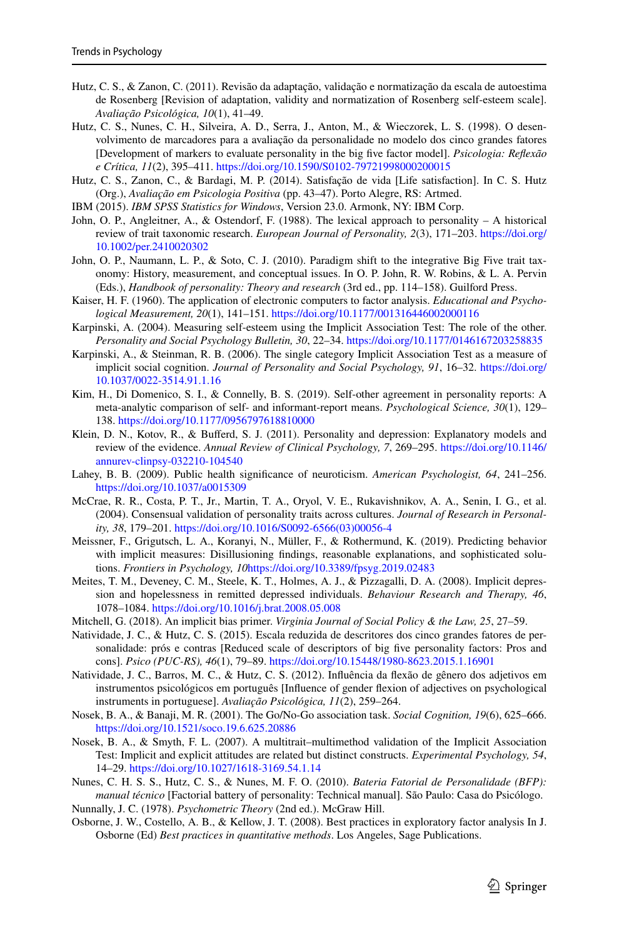- <span id="page-24-15"></span>Hutz, C. S., & Zanon, C. (2011). Revisão da adaptação, validação e normatização da escala de autoestima de Rosenberg [Revision of adaptation, validity and normatization of Rosenberg self-esteem scale]. *Avaliação Psicológica, 10*(1), 41–49.
- <span id="page-24-3"></span>Hutz, C. S., Nunes, C. H., Silveira, A. D., Serra, J., Anton, M., & Wieczorek, L. S. (1998). O desenvolvimento de marcadores para a avaliação da personalidade no modelo dos cinco grandes fatores [Development of markers to evaluate personality in the big fve factor model]. *Psicologia: Refexão e Crítica, 11*(2), 395–411. <https://doi.org/10.1590/S0102-79721998000200015>
- <span id="page-24-16"></span>Hutz, C. S., Zanon, C., & Bardagi, M. P. (2014). Satisfação de vida [Life satisfaction]. In C. S. Hutz (Org.), *Avaliação em Psicologia Positiva* (pp. 43–47). Porto Alegre, RS: Artmed.
- IBM (2015). *IBM SPSS Statistics for Windows*, Version 23.0. Armonk, NY: IBM Corp.
- <span id="page-24-2"></span>John, O. P., Angleitner, A., & Ostendorf, F. (1988). The lexical approach to personality – A historical review of trait taxonomic research. *European Journal of Personality, 2*(3), 171–203. [https://doi.org/](https://doi.org/10.1002/per.2410020302) [10.1002/per.2410020302](https://doi.org/10.1002/per.2410020302)
- <span id="page-24-4"></span>John, O. P., Naumann, L. P., & Soto, C. J. (2010). Paradigm shift to the integrative Big Five trait taxonomy: History, measurement, and conceptual issues. In O. P. John, R. W. Robins, & L. A. Pervin (Eds.), *Handbook of personality: Theory and research* (3rd ed., pp. 114–158). Guilford Press.
- Kaiser, H. F. (1960). The application of electronic computers to factor analysis. *Educational and Psychological Measurement, 20*(1), 141–151. <https://doi.org/10.1177/001316446002000116>
- <span id="page-24-19"></span>Karpinski, A. (2004). Measuring self-esteem using the Implicit Association Test: The role of the other. *Personality and Social Psychology Bulletin, 30*, 22–34.<https://doi.org/10.1177/0146167203258835>
- <span id="page-24-20"></span>Karpinski, A., & Steinman, R. B. (2006). The single category Implicit Association Test as a measure of implicit social cognition. *Journal of Personality and Social Psychology, 91*, 16–32. [https://doi.org/](https://doi.org/10.1037/0022-3514.91.1.16) [10.1037/0022-3514.91.1.16](https://doi.org/10.1037/0022-3514.91.1.16)
- <span id="page-24-10"></span>Kim, H., Di Domenico, S. I., & Connelly, B. S. (2019). Self-other agreement in personality reports: A meta-analytic comparison of self- and informant-report means. *Psychological Science, 30*(1), 129– 138.<https://doi.org/10.1177/0956797618810000>
- <span id="page-24-0"></span>Klein, D. N., Kotov, R., & Buferd, S. J. (2011). Personality and depression: Explanatory models and review of the evidence. *Annual Review of Clinical Psychology, 7*, 269–295. [https://doi.org/10.1146/](https://doi.org/10.1146/annurev-clinpsy-032210-104540) [annurev-clinpsy-032210-104540](https://doi.org/10.1146/annurev-clinpsy-032210-104540)
- <span id="page-24-7"></span>Lahey, B. B. (2009). Public health signifcance of neuroticism. *American Psychologist, 64*, 241–256. <https://doi.org/10.1037/a0015309>
- <span id="page-24-6"></span>McCrae, R. R., Costa, P. T., Jr., Martin, T. A., Oryol, V. E., Rukavishnikov, A. A., Senin, I. G., et al. (2004). Consensual validation of personality traits across cultures. *Journal of Research in Personality, 38*, 179–201. [https://doi.org/10.1016/S0092-6566\(03\)00056-4](https://doi.org/10.1016/S0092-6566(03)00056-4)
- <span id="page-24-11"></span>Meissner, F., Grigutsch, L. A., Koranyi, N., Müller, F., & Rothermund, K. (2019). Predicting behavior with implicit measures: Disillusioning fndings, reasonable explanations, and sophisticated solutions. *Frontiers in Psychology, 10*<https://doi.org/10.3389/fpsyg.2019.02483>
- <span id="page-24-8"></span>Meites, T. M., Deveney, C. M., Steele, K. T., Holmes, A. J., & Pizzagalli, D. A. (2008). Implicit depression and hopelessness in remitted depressed individuals. *Behaviour Research and Therapy, 46*, 1078–1084.<https://doi.org/10.1016/j.brat.2008.05.008>
- <span id="page-24-18"></span>Mitchell, G. (2018). An implicit bias primer. *Virginia Journal of Social Policy & the Law, 25*, 27–59.
- <span id="page-24-5"></span>Natividade, J. C., & Hutz, C. S. (2015). Escala reduzida de descritores dos cinco grandes fatores de personalidade: prós e contras [Reduced scale of descriptors of big fve personality factors: Pros and cons]. *Psico (PUC-RS), 46*(1), 79–89.<https://doi.org/10.15448/1980-8623.2015.1.16901>
- <span id="page-24-14"></span>Natividade, J. C., Barros, M. C., & Hutz, C. S. (2012). Infuência da fexão de gênero dos adjetivos em instrumentos psicológicos em português [Infuence of gender fexion of adjectives on psychological instruments in portuguese]. *Avaliação Psicológica, 11*(2), 259–264.
- <span id="page-24-9"></span>Nosek, B. A., & Banaji, M. R. (2001). The Go/No-Go association task. *Social Cognition, 19*(6), 625–666. <https://doi.org/10.1521/soco.19.6.625.20886>
- <span id="page-24-12"></span>Nosek, B. A., & Smyth, F. L. (2007). A multitrait–multimethod validation of the Implicit Association Test: Implicit and explicit attitudes are related but distinct constructs. *Experimental Psychology, 54*, 14–29.<https://doi.org/10.1027/1618-3169.54.1.14>
- <span id="page-24-1"></span>Nunes, C. H. S. S., Hutz, C. S., & Nunes, M. F. O. (2010). *Bateria Fatorial de Personalidade (BFP): manual técnico* [Factorial battery of personality: Technical manual]. São Paulo: Casa do Psicólogo.
- <span id="page-24-17"></span>Nunnally, J. C. (1978). *Psychometric Theory* (2nd ed.). McGraw Hill.
- <span id="page-24-13"></span>Osborne, J. W., Costello, A. B., & Kellow, J. T. (2008). Best practices in exploratory factor analysis In J. Osborne (Ed) *Best practices in quantitative methods*. Los Angeles, Sage Publications.